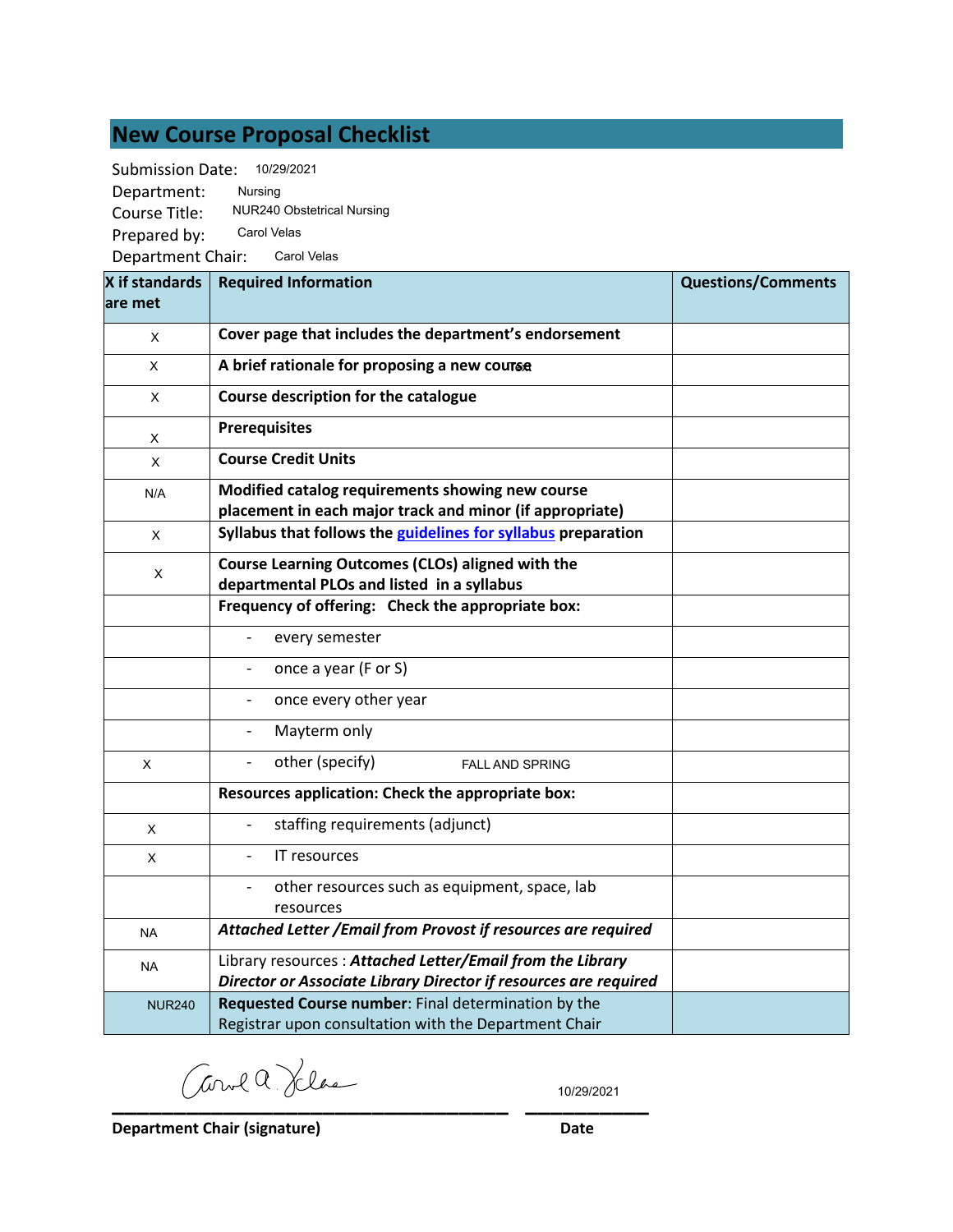### **New Course Proposal Checklist**

Submission Date: 10/29/2021

Department: Course Title: Prepared by: Department Chair: Carol Velas Nursing NUR240 Obstetrical Nursing Carol Velas

**X if standards are met Required Information Comments Required Information Questions/Comments Cover page that includes the department͛s endorsement** A brief rationale for proposing a new course **Course description for the catalogue Prerequisites Course Credit Units Modified catalog requirements showing new course placement in each major track and minor (if appropriate) Syllabus that follows the guidelines for syllabus preparation Course Learning Outcomes (CLOs) aligned with the departmental PLOs and listed in a syllabus Frequency of offering: Check the appropriate box:** - every semester - once a year (F or S) - once every other year Mayterm only - other (specify) **Resources application: Check the appropriate box:**  staffing requirements (adjunct) - IT resources other resources such as equipment, space, lab resources *Attached Letter /Email from Provost if resources are required*  Library resources : *Attached Letter/Email from the Library Director or Associate Library Director if resources are required* **Requested Course number**: Final determination by the Registrar upon consultation with the Department Chair NA FALL AND SPRING X X X X X NA N/A X X X NUR240 X X

**\_\_\_\_\_\_\_\_\_\_\_\_\_\_\_\_\_\_\_\_\_\_\_\_\_\_\_\_\_\_\_\_ \_\_\_\_\_\_\_\_\_\_**

10/29/2021

**Department Chair (signature) Date**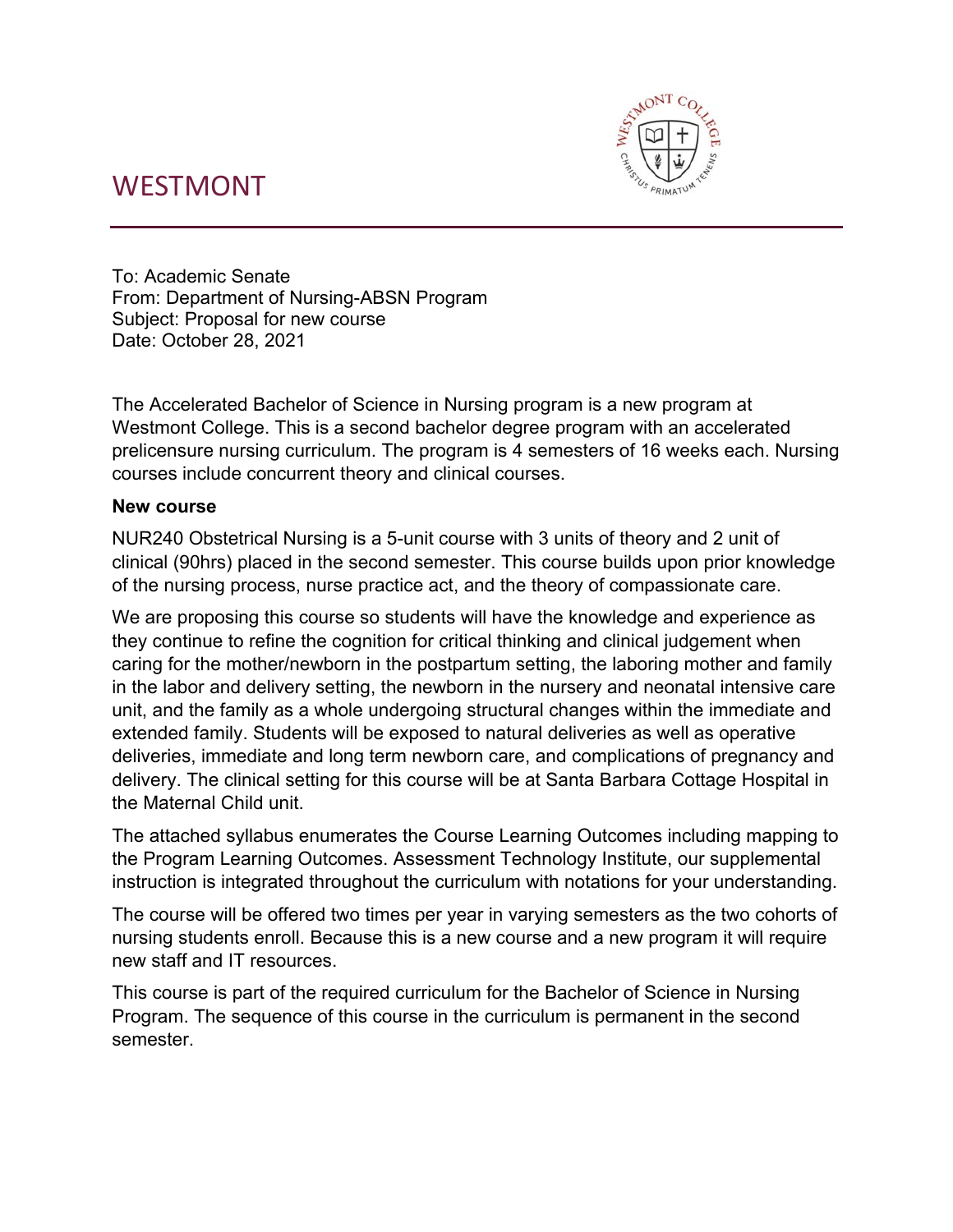# WESTMONT



To: Academic Senate From: Department of Nursing-ABSN Program Subject: Proposal for new course Date: October 28, 2021

The Accelerated Bachelor of Science in Nursing program is a new program at Westmont College. This is a second bachelor degree program with an accelerated prelicensure nursing curriculum. The program is 4 semesters of 16 weeks each. Nursing courses include concurrent theory and clinical courses.

#### **New course**

NUR240 Obstetrical Nursing is a 5-unit course with 3 units of theory and 2 unit of clinical (90hrs) placed in the second semester. This course builds upon prior knowledge of the nursing process, nurse practice act, and the theory of compassionate care.

We are proposing this course so students will have the knowledge and experience as they continue to refine the cognition for critical thinking and clinical judgement when caring for the mother/newborn in the postpartum setting, the laboring mother and family in the labor and delivery setting, the newborn in the nursery and neonatal intensive care unit, and the family as a whole undergoing structural changes within the immediate and extended family. Students will be exposed to natural deliveries as well as operative deliveries, immediate and long term newborn care, and complications of pregnancy and delivery. The clinical setting for this course will be at Santa Barbara Cottage Hospital in the Maternal Child unit.

The attached syllabus enumerates the Course Learning Outcomes including mapping to the Program Learning Outcomes. Assessment Technology Institute, our supplemental instruction is integrated throughout the curriculum with notations for your understanding.

The course will be offered two times per year in varying semesters as the two cohorts of nursing students enroll. Because this is a new course and a new program it will require new staff and IT resources.

This course is part of the required curriculum for the Bachelor of Science in Nursing Program. The sequence of this course in the curriculum is permanent in the second semester.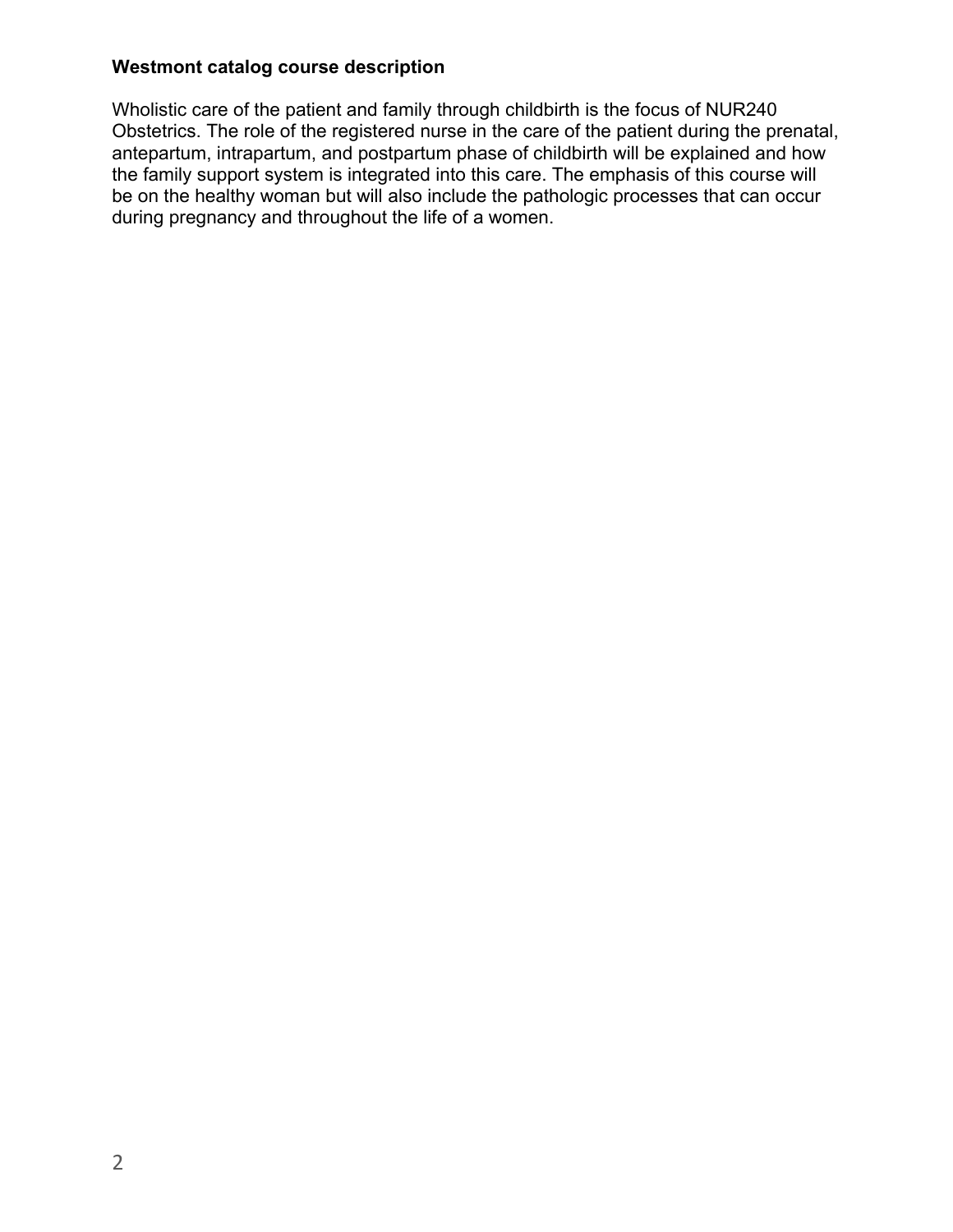#### **Westmont catalog course description**

Wholistic care of the patient and family through childbirth is the focus of NUR240 Obstetrics. The role of the registered nurse in the care of the patient during the prenatal, antepartum, intrapartum, and postpartum phase of childbirth will be explained and how the family support system is integrated into this care. The emphasis of this course will be on the healthy woman but will also include the pathologic processes that can occur during pregnancy and throughout the life of a women.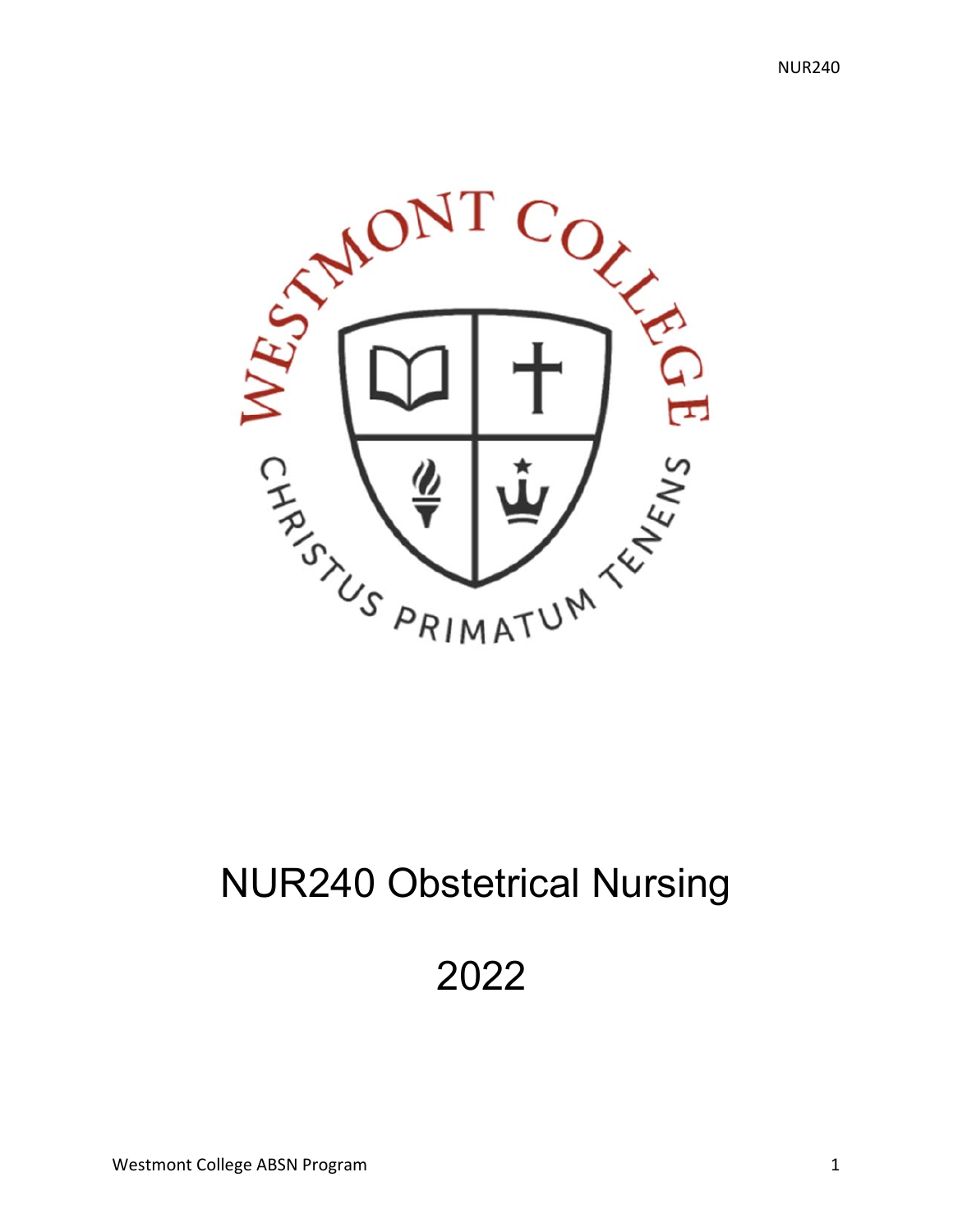

# NUR240 Obstetrical Nursing

2022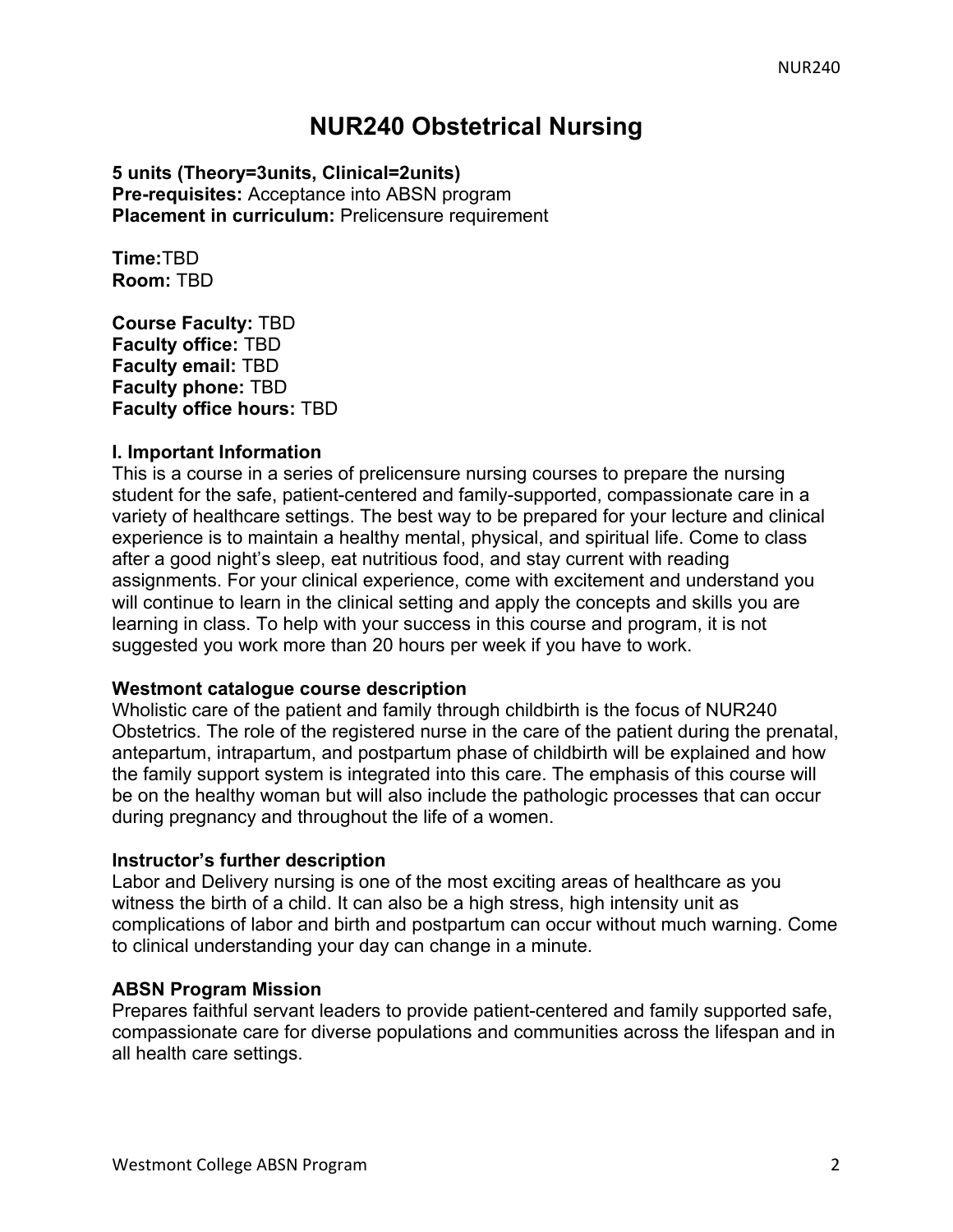## **NUR240 Obstetrical Nursing**

#### **5 units (Theory=3units, Clinical=2units) Pre-requisites:** Acceptance into ABSN program **Placement in curriculum:** Prelicensure requirement

**Time:**TBD **Room:** TBD

**Course Faculty:** TBD **Faculty office:** TBD **Faculty email:** TBD **Faculty phone:** TBD **Faculty office hours:** TBD

#### **I. Important Information**

This is a course in a series of prelicensure nursing courses to prepare the nursing student for the safe, patient-centered and family-supported, compassionate care in a variety of healthcare settings. The best way to be prepared for your lecture and clinical experience is to maintain a healthy mental, physical, and spiritual life. Come to class after a good night's sleep, eat nutritious food, and stay current with reading assignments. For your clinical experience, come with excitement and understand you will continue to learn in the clinical setting and apply the concepts and skills you are learning in class. To help with your success in this course and program, it is not suggested you work more than 20 hours per week if you have to work.

#### **Westmont catalogue course description**

Wholistic care of the patient and family through childbirth is the focus of NUR240 Obstetrics. The role of the registered nurse in the care of the patient during the prenatal, antepartum, intrapartum, and postpartum phase of childbirth will be explained and how the family support system is integrated into this care. The emphasis of this course will be on the healthy woman but will also include the pathologic processes that can occur during pregnancy and throughout the life of a women.

#### **Instructor's further description**

Labor and Delivery nursing is one of the most exciting areas of healthcare as you witness the birth of a child. It can also be a high stress, high intensity unit as complications of labor and birth and postpartum can occur without much warning. Come to clinical understanding your day can change in a minute.

#### **ABSN Program Mission**

Prepares faithful servant leaders to provide patient-centered and family supported safe, compassionate care for diverse populations and communities across the lifespan and in all health care settings.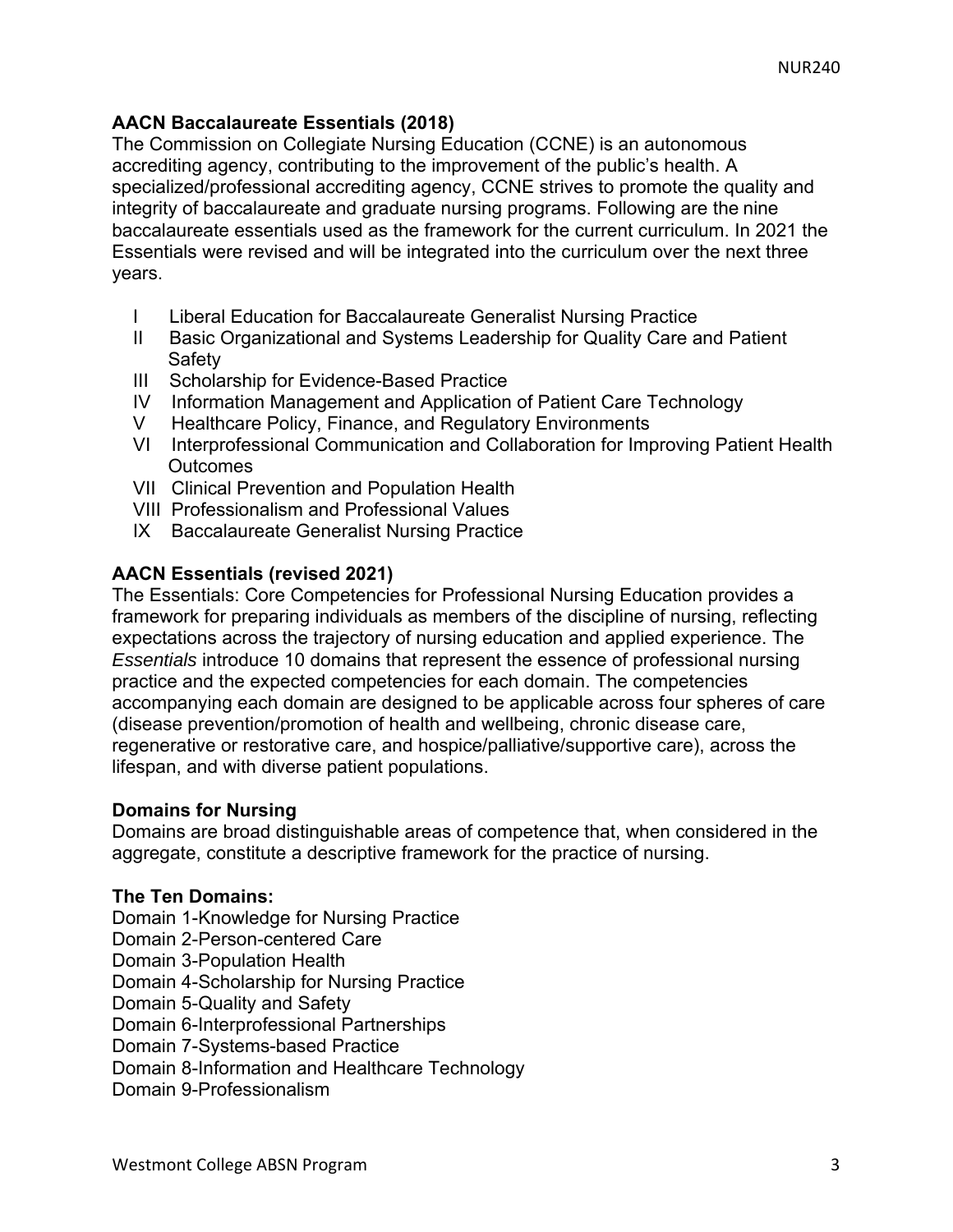#### **AACN Baccalaureate Essentials (2018)**

The Commission on Collegiate Nursing Education (CCNE) is an autonomous accrediting agency, contributing to the improvement of the public's health. A specialized/professional accrediting agency, CCNE strives to promote the quality and integrity of baccalaureate and graduate nursing programs. Following are the nine baccalaureate essentials used as the framework for the current curriculum. In 2021 the Essentials were revised and will be integrated into the curriculum over the next three years.

- I Liberal Education for Baccalaureate Generalist Nursing Practice
- II Basic Organizational and Systems Leadership for Quality Care and Patient **Safety**
- III Scholarship for Evidence-Based Practice
- IV Information Management and Application of Patient Care Technology
- V Healthcare Policy, Finance, and Regulatory Environments
- VI Interprofessional Communication and Collaboration for Improving Patient Health **Outcomes**
- VII Clinical Prevention and Population Health
- VIII Professionalism and Professional Values
- IX Baccalaureate Generalist Nursing Practice

#### **AACN Essentials (revised 2021)**

The Essentials: Core Competencies for Professional Nursing Education provides a framework for preparing individuals as members of the discipline of nursing, reflecting expectations across the trajectory of nursing education and applied experience. The *Essentials* introduce 10 domains that represent the essence of professional nursing practice and the expected competencies for each domain. The competencies accompanying each domain are designed to be applicable across four spheres of care (disease prevention/promotion of health and wellbeing, chronic disease care, regenerative or restorative care, and hospice/palliative/supportive care), across the lifespan, and with diverse patient populations.

#### **Domains for Nursing**

Domains are broad distinguishable areas of competence that, when considered in the aggregate, constitute a descriptive framework for the practice of nursing.

#### **The Ten Domains:**

Domain 1-Knowledge for Nursing Practice

- Domain 2-Person-centered Care
- Domain 3-Population Health

Domain 4-Scholarship for Nursing Practice

Domain 5-Quality and Safety

Domain 6-Interprofessional Partnerships

Domain 7-Systems-based Practice

Domain 8-Information and Healthcare Technology

Domain 9-Professionalism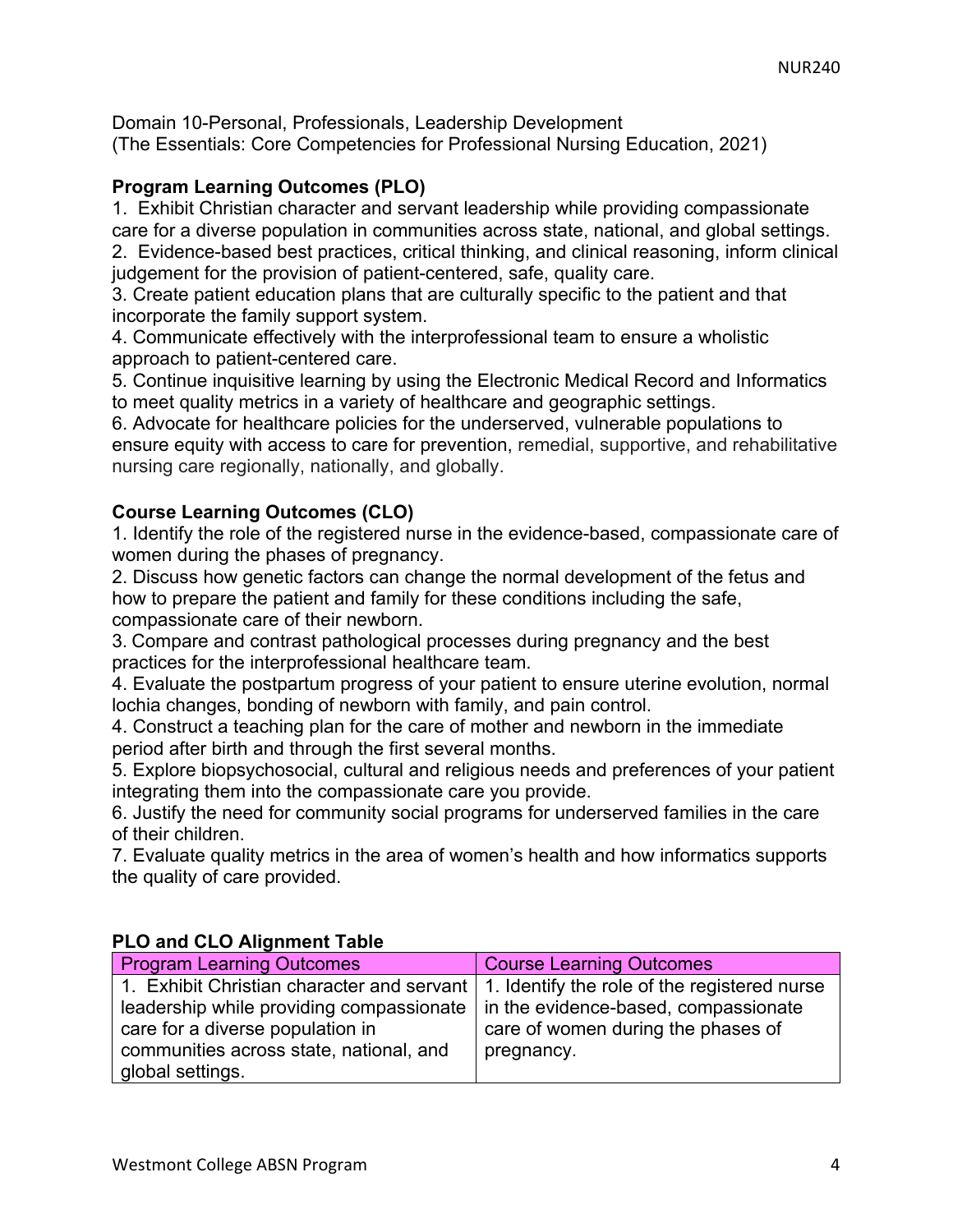Domain 10-Personal, Professionals, Leadership Development (The Essentials: Core Competencies for Professional Nursing Education, 2021)

#### **Program Learning Outcomes (PLO)**

1. Exhibit Christian character and servant leadership while providing compassionate care for a diverse population in communities across state, national, and global settings. 2. Evidence-based best practices, critical thinking, and clinical reasoning, inform clinical judgement for the provision of patient-centered, safe, quality care.

3. Create patient education plans that are culturally specific to the patient and that incorporate the family support system.

4. Communicate effectively with the interprofessional team to ensure a wholistic approach to patient-centered care.

5. Continue inquisitive learning by using the Electronic Medical Record and Informatics to meet quality metrics in a variety of healthcare and geographic settings.

6. Advocate for healthcare policies for the underserved, vulnerable populations to ensure equity with access to care for prevention, remedial, supportive, and rehabilitative nursing care regionally, nationally, and globally.

#### **Course Learning Outcomes (CLO)**

1. Identify the role of the registered nurse in the evidence-based, compassionate care of women during the phases of pregnancy.

2. Discuss how genetic factors can change the normal development of the fetus and how to prepare the patient and family for these conditions including the safe, compassionate care of their newborn.

3. Compare and contrast pathological processes during pregnancy and the best practices for the interprofessional healthcare team.

4. Evaluate the postpartum progress of your patient to ensure uterine evolution, normal lochia changes, bonding of newborn with family, and pain control.

4. Construct a teaching plan for the care of mother and newborn in the immediate period after birth and through the first several months.

5. Explore biopsychosocial, cultural and religious needs and preferences of your patient integrating them into the compassionate care you provide.

6. Justify the need for community social programs for underserved families in the care of their children.

7. Evaluate quality metrics in the area of women's health and how informatics supports the quality of care provided.

| <b>Program Learning Outcomes</b>                                                          | <b>Course Learning Outcomes</b>    |
|-------------------------------------------------------------------------------------------|------------------------------------|
| 1. Exhibit Christian character and servant   1. Identify the role of the registered nurse |                                    |
| leadership while providing compassionate $\vert$ in the evidence-based, compassionate     |                                    |
| care for a diverse population in                                                          | care of women during the phases of |
| communities across state, national, and                                                   | pregnancy.                         |
| global settings.                                                                          |                                    |

#### **PLO and CLO Alignment Table**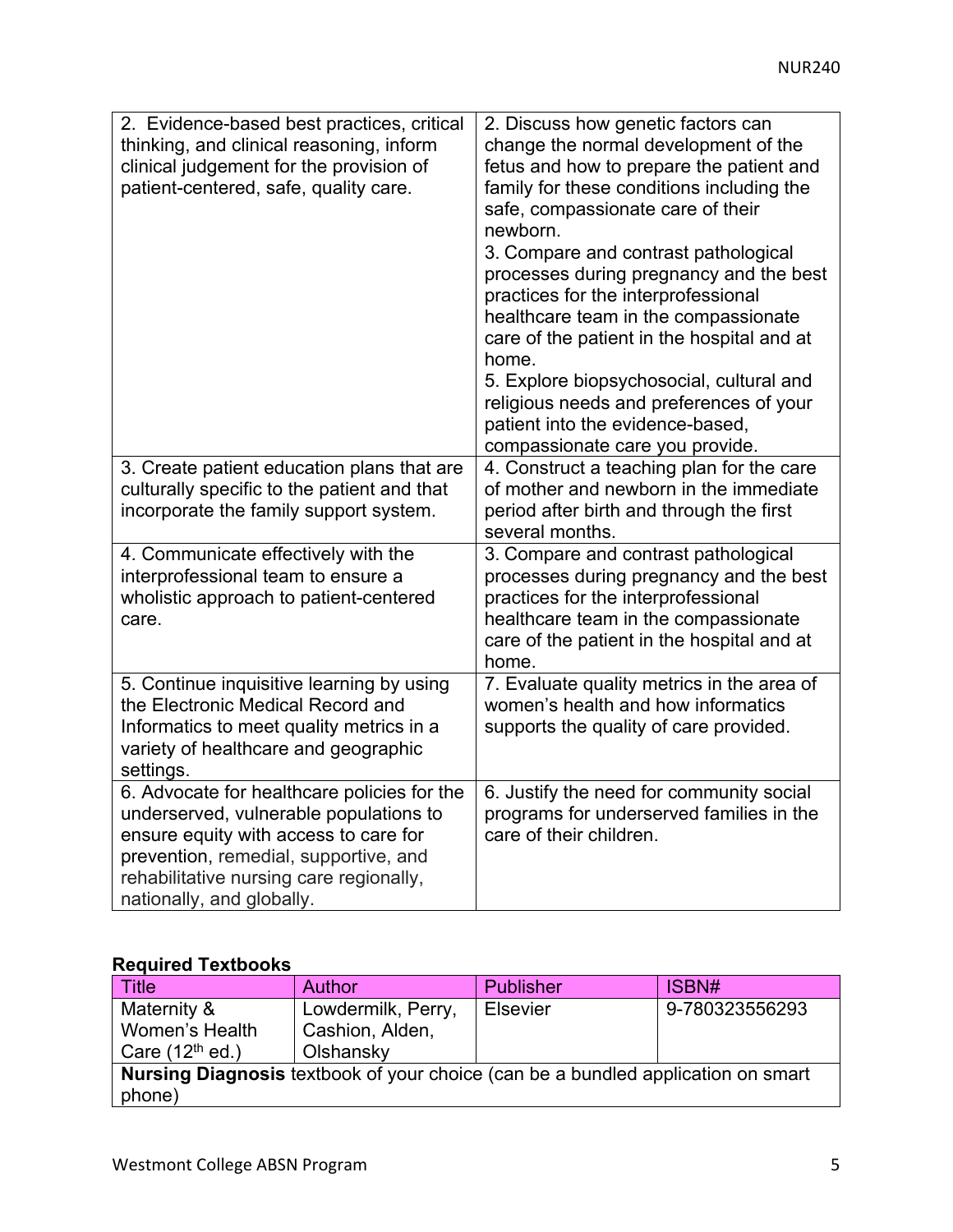| 2. Evidence-based best practices, critical<br>thinking, and clinical reasoning, inform<br>clinical judgement for the provision of<br>patient-centered, safe, quality care. | 2. Discuss how genetic factors can<br>change the normal development of the<br>fetus and how to prepare the patient and<br>family for these conditions including the<br>safe, compassionate care of their<br>newborn.<br>3. Compare and contrast pathological<br>processes during pregnancy and the best<br>practices for the interprofessional<br>healthcare team in the compassionate<br>care of the patient in the hospital and at<br>home.<br>5. Explore biopsychosocial, cultural and<br>religious needs and preferences of your<br>patient into the evidence-based,<br>compassionate care you provide. |
|----------------------------------------------------------------------------------------------------------------------------------------------------------------------------|-------------------------------------------------------------------------------------------------------------------------------------------------------------------------------------------------------------------------------------------------------------------------------------------------------------------------------------------------------------------------------------------------------------------------------------------------------------------------------------------------------------------------------------------------------------------------------------------------------------|
| 3. Create patient education plans that are                                                                                                                                 | 4. Construct a teaching plan for the care                                                                                                                                                                                                                                                                                                                                                                                                                                                                                                                                                                   |
| culturally specific to the patient and that                                                                                                                                | of mother and newborn in the immediate                                                                                                                                                                                                                                                                                                                                                                                                                                                                                                                                                                      |
| incorporate the family support system.                                                                                                                                     | period after birth and through the first                                                                                                                                                                                                                                                                                                                                                                                                                                                                                                                                                                    |
|                                                                                                                                                                            | several months.                                                                                                                                                                                                                                                                                                                                                                                                                                                                                                                                                                                             |
| 4. Communicate effectively with the                                                                                                                                        | 3. Compare and contrast pathological                                                                                                                                                                                                                                                                                                                                                                                                                                                                                                                                                                        |
| interprofessional team to ensure a                                                                                                                                         | processes during pregnancy and the best                                                                                                                                                                                                                                                                                                                                                                                                                                                                                                                                                                     |
| wholistic approach to patient-centered                                                                                                                                     | practices for the interprofessional                                                                                                                                                                                                                                                                                                                                                                                                                                                                                                                                                                         |
| care.                                                                                                                                                                      | healthcare team in the compassionate                                                                                                                                                                                                                                                                                                                                                                                                                                                                                                                                                                        |
|                                                                                                                                                                            | care of the patient in the hospital and at                                                                                                                                                                                                                                                                                                                                                                                                                                                                                                                                                                  |
|                                                                                                                                                                            |                                                                                                                                                                                                                                                                                                                                                                                                                                                                                                                                                                                                             |
| 5. Continue inquisitive learning by using                                                                                                                                  | home.<br>7. Evaluate quality metrics in the area of                                                                                                                                                                                                                                                                                                                                                                                                                                                                                                                                                         |
| the Electronic Medical Record and                                                                                                                                          | women's health and how informatics                                                                                                                                                                                                                                                                                                                                                                                                                                                                                                                                                                          |
| Informatics to meet quality metrics in a                                                                                                                                   | supports the quality of care provided.                                                                                                                                                                                                                                                                                                                                                                                                                                                                                                                                                                      |
| variety of healthcare and geographic                                                                                                                                       |                                                                                                                                                                                                                                                                                                                                                                                                                                                                                                                                                                                                             |
| settings.                                                                                                                                                                  |                                                                                                                                                                                                                                                                                                                                                                                                                                                                                                                                                                                                             |
| 6. Advocate for healthcare policies for the                                                                                                                                | 6. Justify the need for community social                                                                                                                                                                                                                                                                                                                                                                                                                                                                                                                                                                    |
| underserved, vulnerable populations to                                                                                                                                     | programs for underserved families in the                                                                                                                                                                                                                                                                                                                                                                                                                                                                                                                                                                    |
| ensure equity with access to care for                                                                                                                                      | care of their children.                                                                                                                                                                                                                                                                                                                                                                                                                                                                                                                                                                                     |
| prevention, remedial, supportive, and                                                                                                                                      |                                                                                                                                                                                                                                                                                                                                                                                                                                                                                                                                                                                                             |
| rehabilitative nursing care regionally,                                                                                                                                    |                                                                                                                                                                                                                                                                                                                                                                                                                                                                                                                                                                                                             |
|                                                                                                                                                                            |                                                                                                                                                                                                                                                                                                                                                                                                                                                                                                                                                                                                             |
| nationally, and globally.                                                                                                                                                  |                                                                                                                                                                                                                                                                                                                                                                                                                                                                                                                                                                                                             |

# **Required Textbooks**

| $\mid$ Title                                                                            | <b>Author</b>      | <b>Publisher</b> | ISBN#          |  |
|-----------------------------------------------------------------------------------------|--------------------|------------------|----------------|--|
| Maternity &                                                                             | Lowdermilk, Perry, | <b>Elsevier</b>  | 9-780323556293 |  |
| Women's Health                                                                          | Cashion, Alden,    |                  |                |  |
| Care $(12th$ ed.)                                                                       | Olshansky          |                  |                |  |
| <b>Nursing Diagnosis</b> textbook of your choice (can be a bundled application on smart |                    |                  |                |  |
| phone)                                                                                  |                    |                  |                |  |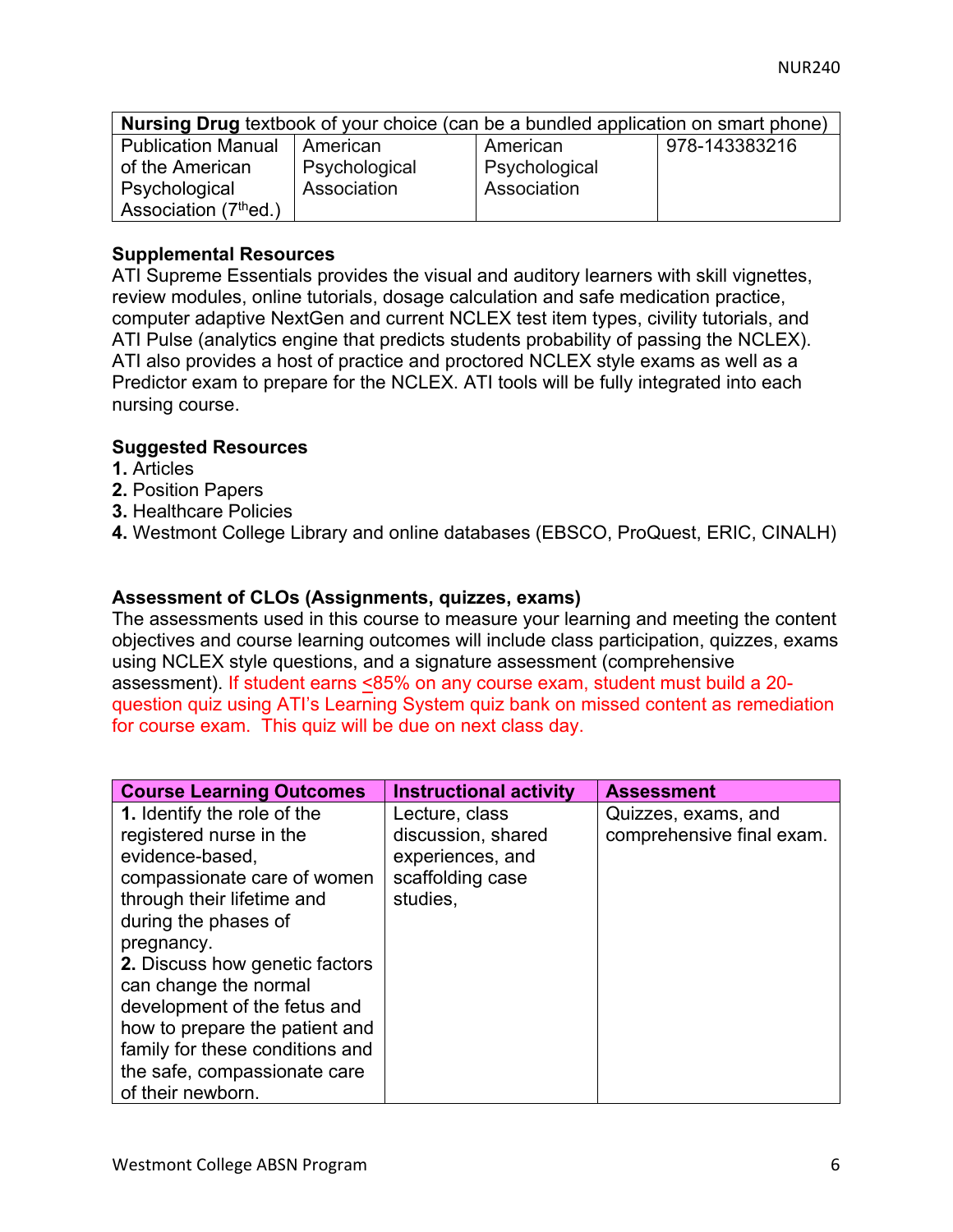| <b>Nursing Drug</b> textbook of your choice (can be a bundled application on smart phone) |                 |               |               |  |
|-------------------------------------------------------------------------------------------|-----------------|---------------|---------------|--|
| l Publication Manual                                                                      | <b>American</b> | American      | 978-143383216 |  |
| of the American                                                                           | Psychological   | Psychological |               |  |
| Psychological                                                                             | Association     | Association   |               |  |
| Association (7 <sup>th</sup> ed.)                                                         |                 |               |               |  |

#### **Supplemental Resources**

ATI Supreme Essentials provides the visual and auditory learners with skill vignettes, review modules, online tutorials, dosage calculation and safe medication practice, computer adaptive NextGen and current NCLEX test item types, civility tutorials, and ATI Pulse (analytics engine that predicts students probability of passing the NCLEX). ATI also provides a host of practice and proctored NCLEX style exams as well as a Predictor exam to prepare for the NCLEX. ATI tools will be fully integrated into each nursing course.

#### **Suggested Resources**

- **1.** Articles
- **2.** Position Papers
- **3.** Healthcare Policies
- **4.** Westmont College Library and online databases (EBSCO, ProQuest, ERIC, CINALH)

#### **Assessment of CLOs (Assignments, quizzes, exams)**

The assessments used in this course to measure your learning and meeting the content objectives and course learning outcomes will include class participation, quizzes, exams using NCLEX style questions, and a signature assessment (comprehensive assessment). If student earns <85% on any course exam, student must build a 20question quiz using ATI's Learning System quiz bank on missed content as remediation for course exam. This quiz will be due on next class day.

| <b>Course Learning Outcomes</b> | <b>Instructional activity</b> | <b>Assessment</b>         |
|---------------------------------|-------------------------------|---------------------------|
| 1. Identify the role of the     | Lecture, class                | Quizzes, exams, and       |
| registered nurse in the         | discussion, shared            | comprehensive final exam. |
| evidence-based,                 | experiences, and              |                           |
| compassionate care of women     | scaffolding case              |                           |
| through their lifetime and      | studies,                      |                           |
| during the phases of            |                               |                           |
| pregnancy.                      |                               |                           |
| 2. Discuss how genetic factors  |                               |                           |
| can change the normal           |                               |                           |
| development of the fetus and    |                               |                           |
| how to prepare the patient and  |                               |                           |
| family for these conditions and |                               |                           |
| the safe, compassionate care    |                               |                           |
| of their newborn.               |                               |                           |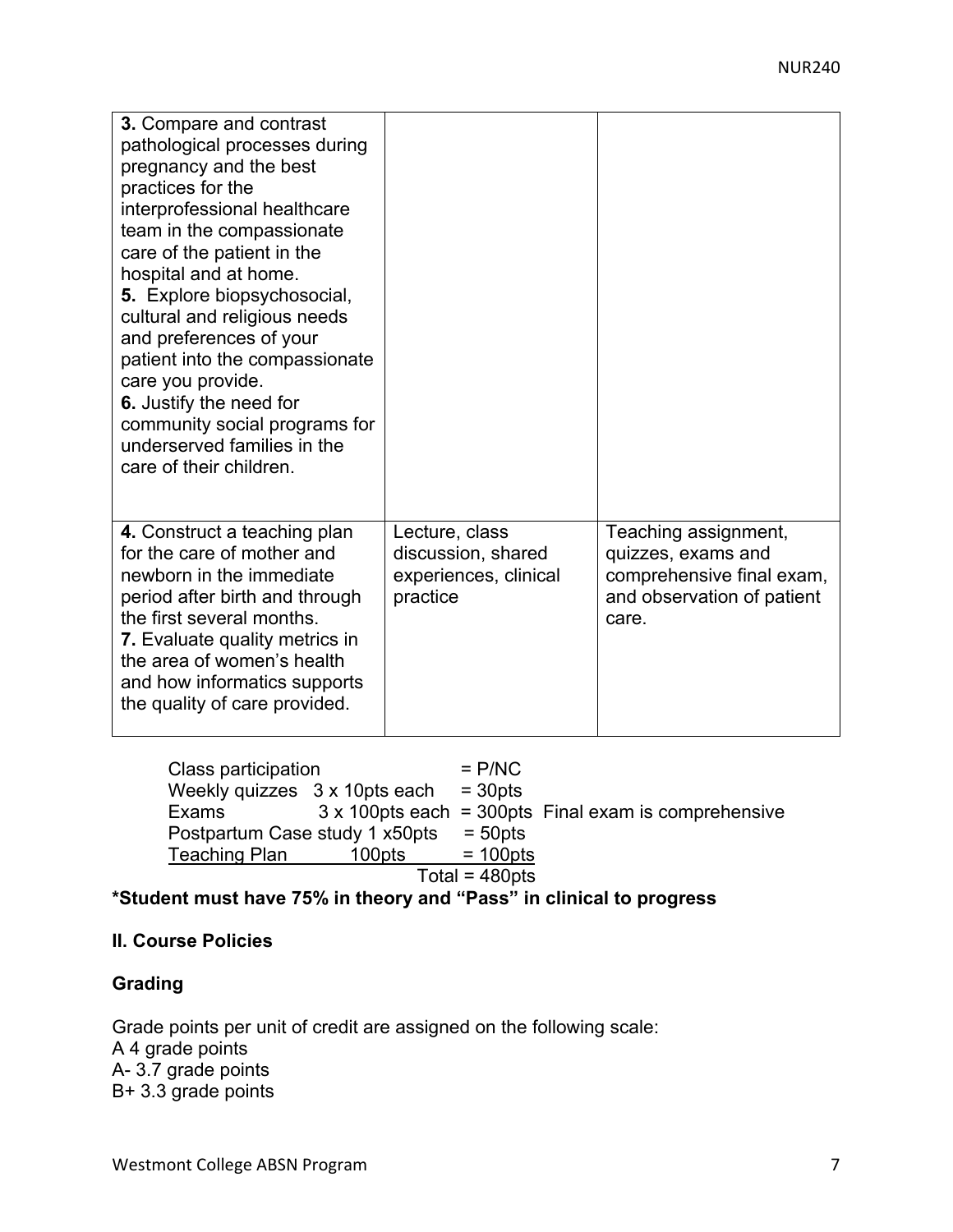| 3. Compare and contrast<br>pathological processes during<br>pregnancy and the best<br>practices for the<br>interprofessional healthcare<br>team in the compassionate<br>care of the patient in the<br>hospital and at home.<br>5. Explore biopsychosocial,<br>cultural and religious needs<br>and preferences of your<br>patient into the compassionate<br>care you provide.<br>6. Justify the need for<br>community social programs for<br>underserved families in the<br>care of their children. |                                                                           |                                                                                                                |
|----------------------------------------------------------------------------------------------------------------------------------------------------------------------------------------------------------------------------------------------------------------------------------------------------------------------------------------------------------------------------------------------------------------------------------------------------------------------------------------------------|---------------------------------------------------------------------------|----------------------------------------------------------------------------------------------------------------|
| 4. Construct a teaching plan<br>for the care of mother and<br>newborn in the immediate<br>period after birth and through<br>the first several months.<br><b>7.</b> Evaluate quality metrics in<br>the area of women's health<br>and how informatics supports<br>the quality of care provided.                                                                                                                                                                                                      | Lecture, class<br>discussion, shared<br>experiences, clinical<br>practice | Teaching assignment,<br>quizzes, exams and<br>comprehensive final exam,<br>and observation of patient<br>care. |

 $Class$  participation  $= P/NC$ Weekly quizzes  $3 \times 10$ pts each = 30pts Exams  $3 \times 100$ pts each = 300pts Final exam is comprehensive<br>Postpartum Case study 1 x50pts = 50pts Postpartum Case study 1 x50pts Teaching Plan 100pts = 100pts  $Total = 480pts$ 

**\*Student must have 75% in theory and "Pass" in clinical to progress**

#### **II. Course Policies**

#### **Grading**

Grade points per unit of credit are assigned on the following scale: A 4 grade points A- 3.7 grade points B+ 3.3 grade points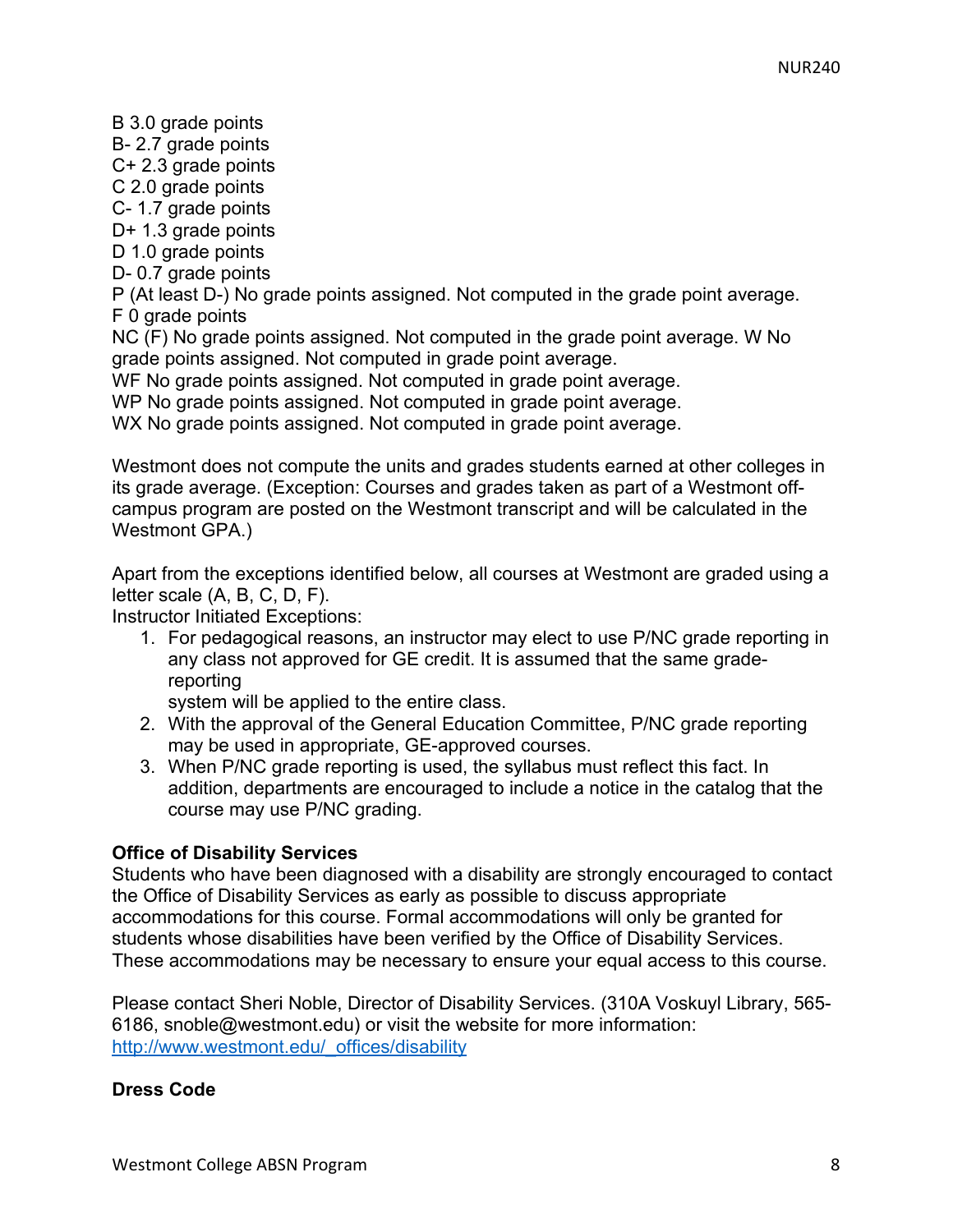B 3.0 grade points B- 2.7 grade points C+ 2.3 grade points C 2.0 grade points C- 1.7 grade points D+ 1.3 grade points D 1.0 grade points D- 0.7 grade points P (At least D-) No grade points assigned. Not computed in the grade point average. F 0 grade points NC (F) No grade points assigned. Not computed in the grade point average. W No grade points assigned. Not computed in grade point average. WF No grade points assigned. Not computed in grade point average.

WP No grade points assigned. Not computed in grade point average.

WX No grade points assigned. Not computed in grade point average.

Westmont does not compute the units and grades students earned at other colleges in its grade average. (Exception: Courses and grades taken as part of a Westmont offcampus program are posted on the Westmont transcript and will be calculated in the Westmont GPA.)

Apart from the exceptions identified below, all courses at Westmont are graded using a letter scale (A, B, C, D, F).

Instructor Initiated Exceptions:

1. For pedagogical reasons, an instructor may elect to use P/NC grade reporting in any class not approved for GE credit. It is assumed that the same gradereporting

system will be applied to the entire class.

- 2. With the approval of the General Education Committee, P/NC grade reporting may be used in appropriate, GE-approved courses.
- 3. When P/NC grade reporting is used, the syllabus must reflect this fact. In addition, departments are encouraged to include a notice in the catalog that the course may use P/NC grading.

#### **Office of Disability Services**

Students who have been diagnosed with a disability are strongly encouraged to contact the Office of Disability Services as early as possible to discuss appropriate accommodations for this course. Formal accommodations will only be granted for students whose disabilities have been verified by the Office of Disability Services. These accommodations may be necessary to ensure your equal access to this course.

Please contact Sheri Noble, Director of Disability Services. (310A Voskuyl Library, 565- 6186, snoble@westmont.edu) or visit the website for more information: http://www.westmont.edu/\_offices/disability

#### **Dress Code**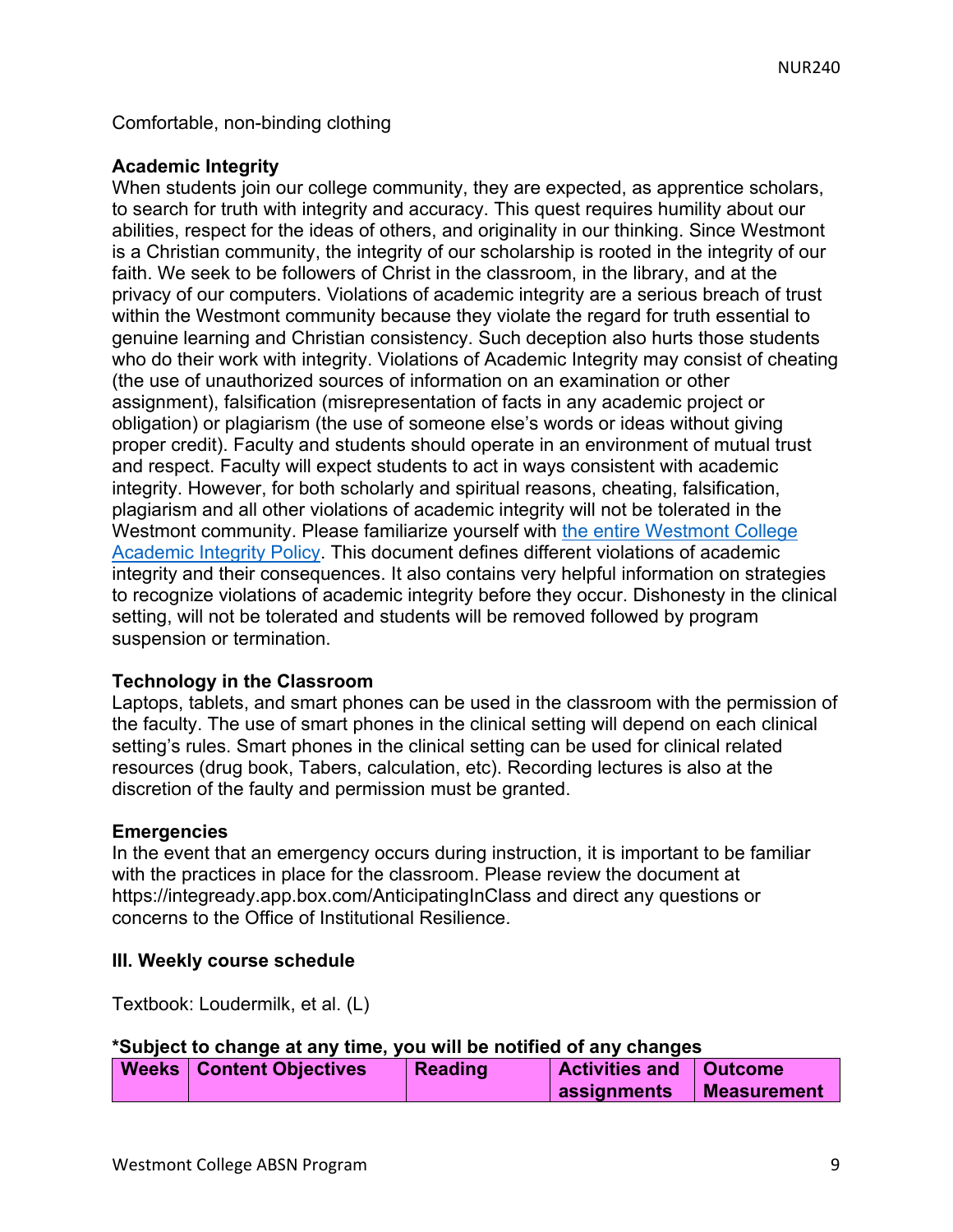#### Comfortable, non-binding clothing

#### **Academic Integrity**

When students join our college community, they are expected, as apprentice scholars, to search for truth with integrity and accuracy. This quest requires humility about our abilities, respect for the ideas of others, and originality in our thinking. Since Westmont is a Christian community, the integrity of our scholarship is rooted in the integrity of our faith. We seek to be followers of Christ in the classroom, in the library, and at the privacy of our computers. Violations of academic integrity are a serious breach of trust within the Westmont community because they violate the regard for truth essential to genuine learning and Christian consistency. Such deception also hurts those students who do their work with integrity. Violations of Academic Integrity may consist of cheating (the use of unauthorized sources of information on an examination or other assignment), falsification (misrepresentation of facts in any academic project or obligation) or plagiarism (the use of someone else's words or ideas without giving proper credit). Faculty and students should operate in an environment of mutual trust and respect. Faculty will expect students to act in ways consistent with academic integrity. However, for both scholarly and spiritual reasons, cheating, falsification, plagiarism and all other violations of academic integrity will not be tolerated in the Westmont community. Please familiarize yourself with the entire Westmont College Academic Integrity Policy. This document defines different violations of academic integrity and their consequences. It also contains very helpful information on strategies to recognize violations of academic integrity before they occur. Dishonesty in the clinical setting, will not be tolerated and students will be removed followed by program suspension or termination.

#### **Technology in the Classroom**

Laptops, tablets, and smart phones can be used in the classroom with the permission of the faculty. The use of smart phones in the clinical setting will depend on each clinical setting's rules. Smart phones in the clinical setting can be used for clinical related resources (drug book, Tabers, calculation, etc). Recording lectures is also at the discretion of the faulty and permission must be granted.

#### **Emergencies**

In the event that an emergency occurs during instruction, it is important to be familiar with the practices in place for the classroom. Please review the document at https://integready.app.box.com/AnticipatingInClass and direct any questions or concerns to the Office of Institutional Resilience.

#### **III. Weekly course schedule**

Textbook: Loudermilk, et al. (L)

| *Subject to change at any time, you will be notified of any changes |
|---------------------------------------------------------------------|
|---------------------------------------------------------------------|

| <b>Weeks   Content Objectives</b> | <b>Reading</b> | Activities and   Outcome |                    |
|-----------------------------------|----------------|--------------------------|--------------------|
|                                   |                | assignments              | <b>Measurement</b> |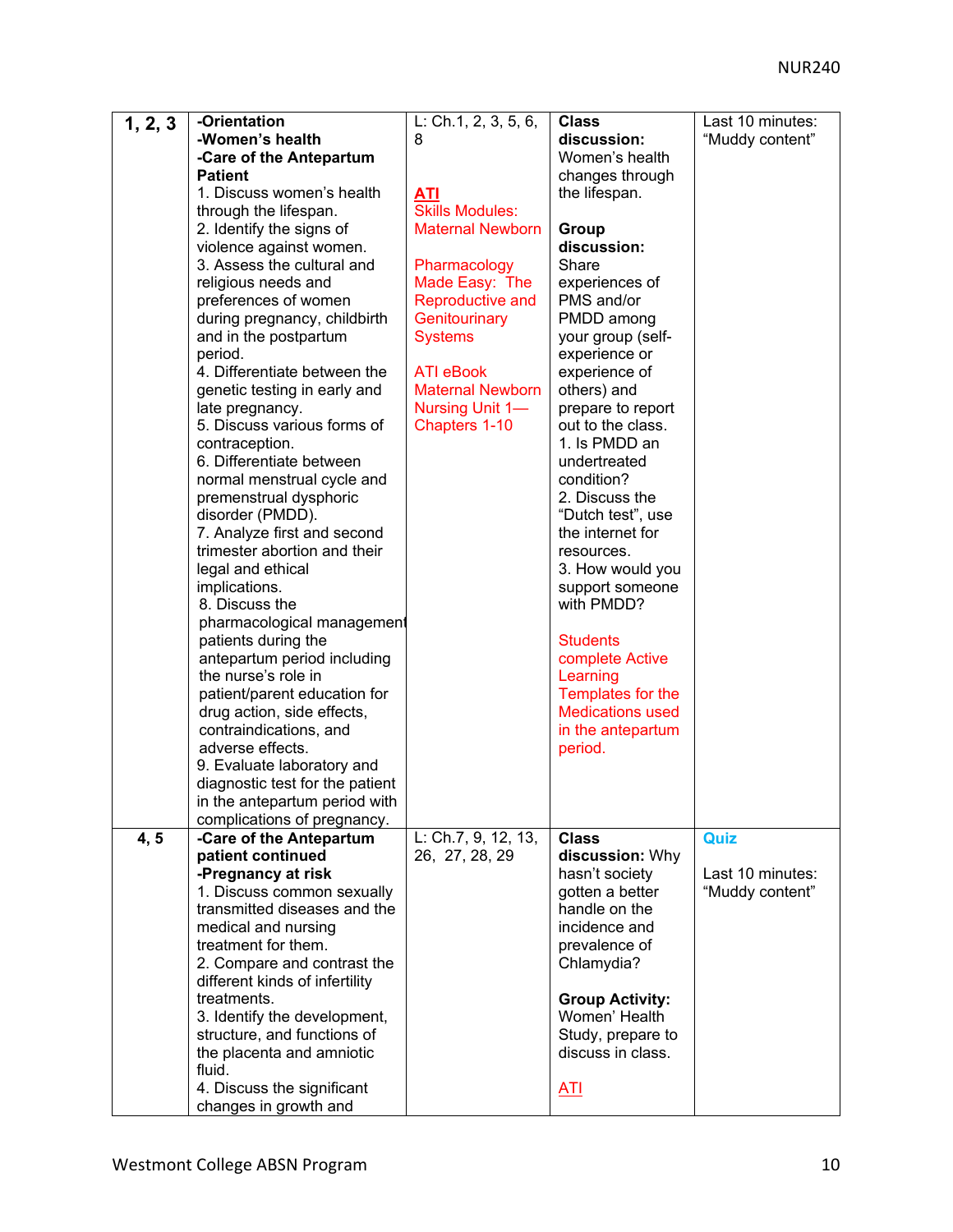| 1, 2, 3 | -Orientation                    | L: Ch.1, 2, 3, 5, 6,    | <b>Class</b>            | Last 10 minutes: |
|---------|---------------------------------|-------------------------|-------------------------|------------------|
|         | -Women's health                 | 8                       | discussion:             | "Muddy content"  |
|         | -Care of the Antepartum         |                         | Women's health          |                  |
|         | <b>Patient</b>                  |                         | changes through         |                  |
|         | 1. Discuss women's health       | <b>ATI</b>              | the lifespan.           |                  |
|         | through the lifespan.           | Skills Modules:         |                         |                  |
|         | 2. Identify the signs of        | <b>Maternal Newborn</b> | Group                   |                  |
|         | violence against women.         |                         | discussion:             |                  |
|         | 3. Assess the cultural and      | Pharmacology            | Share                   |                  |
|         | religious needs and             | Made Easy: The          | experiences of          |                  |
|         |                                 |                         | PMS and/or              |                  |
|         | preferences of women            | Reproductive and        |                         |                  |
|         | during pregnancy, childbirth    | Genitourinary           | PMDD among              |                  |
|         | and in the postpartum           | <b>Systems</b>          | your group (self-       |                  |
|         | period.                         |                         | experience or           |                  |
|         | 4. Differentiate between the    | <b>ATI eBook</b>        | experience of           |                  |
|         | genetic testing in early and    | <b>Maternal Newborn</b> | others) and             |                  |
|         | late pregnancy.                 | Nursing Unit 1-         | prepare to report       |                  |
|         | 5. Discuss various forms of     | Chapters 1-10           | out to the class.       |                  |
|         | contraception.                  |                         | 1. Is PMDD an           |                  |
|         | 6. Differentiate between        |                         | undertreated            |                  |
|         | normal menstrual cycle and      |                         | condition?              |                  |
|         | premenstrual dysphoric          |                         | 2. Discuss the          |                  |
|         | disorder (PMDD).                |                         | "Dutch test", use       |                  |
|         | 7. Analyze first and second     |                         | the internet for        |                  |
|         | trimester abortion and their    |                         | resources.              |                  |
|         | legal and ethical               |                         | 3. How would you        |                  |
|         | implications.                   |                         | support someone         |                  |
|         | 8. Discuss the                  |                         | with PMDD?              |                  |
|         | pharmacological management      |                         |                         |                  |
|         | patients during the             |                         | <b>Students</b>         |                  |
|         | antepartum period including     |                         | complete Active         |                  |
|         | the nurse's role in             |                         | Learning                |                  |
|         |                                 |                         |                         |                  |
|         | patient/parent education for    |                         | Templates for the       |                  |
|         | drug action, side effects,      |                         | <b>Medications used</b> |                  |
|         | contraindications, and          |                         | in the antepartum       |                  |
|         | adverse effects.                |                         | period.                 |                  |
|         | 9. Evaluate laboratory and      |                         |                         |                  |
|         | diagnostic test for the patient |                         |                         |                  |
|         | in the antepartum period with   |                         |                         |                  |
|         | complications of pregnancy.     |                         |                         |                  |
| 4, 5    | -Care of the Antepartum         | L: Ch.7, 9, 12, 13,     | <b>Class</b>            | Quiz             |
|         | patient continued               | 26, 27, 28, 29          | discussion: Why         |                  |
|         | -Pregnancy at risk              |                         | hasn't society          | Last 10 minutes: |
|         | 1. Discuss common sexually      |                         | gotten a better         | "Muddy content"  |
|         | transmitted diseases and the    |                         | handle on the           |                  |
|         | medical and nursing             |                         | incidence and           |                  |
|         | treatment for them.             |                         | prevalence of           |                  |
|         | 2. Compare and contrast the     |                         | Chlamydia?              |                  |
|         | different kinds of infertility  |                         |                         |                  |
|         | treatments.                     |                         | <b>Group Activity:</b>  |                  |
|         | 3. Identify the development,    |                         | Women' Health           |                  |
|         | structure, and functions of     |                         | Study, prepare to       |                  |
|         | the placenta and amniotic       |                         | discuss in class.       |                  |
|         | fluid.                          |                         |                         |                  |
|         | 4. Discuss the significant      |                         | <u>ATI</u>              |                  |
|         | changes in growth and           |                         |                         |                  |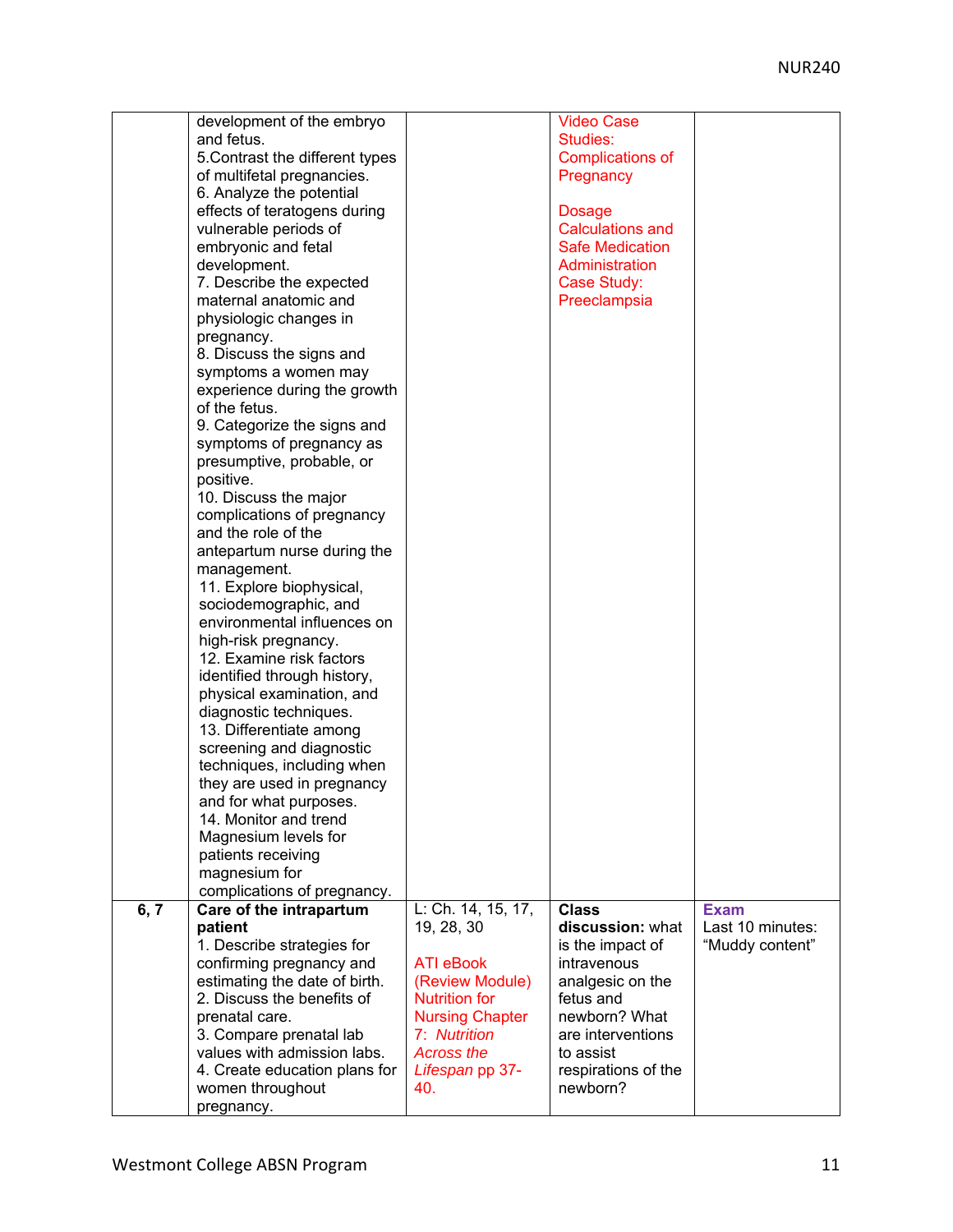|      | development of the embryo       |                        | <b>Video Case</b>       |                  |
|------|---------------------------------|------------------------|-------------------------|------------------|
|      | and fetus.                      |                        | Studies:                |                  |
|      | 5. Contrast the different types |                        | <b>Complications of</b> |                  |
|      | of multifetal pregnancies.      |                        | Pregnancy               |                  |
|      | 6. Analyze the potential        |                        |                         |                  |
|      |                                 |                        |                         |                  |
|      | effects of teratogens during    |                        | <b>Dosage</b>           |                  |
|      | vulnerable periods of           |                        | <b>Calculations and</b> |                  |
|      | embryonic and fetal             |                        | <b>Safe Medication</b>  |                  |
|      | development.                    |                        | Administration          |                  |
|      | 7. Describe the expected        |                        | Case Study:             |                  |
|      | maternal anatomic and           |                        | Preeclampsia            |                  |
|      | physiologic changes in          |                        |                         |                  |
|      |                                 |                        |                         |                  |
|      | pregnancy.                      |                        |                         |                  |
|      | 8. Discuss the signs and        |                        |                         |                  |
|      | symptoms a women may            |                        |                         |                  |
|      | experience during the growth    |                        |                         |                  |
|      | of the fetus.                   |                        |                         |                  |
|      | 9. Categorize the signs and     |                        |                         |                  |
|      | symptoms of pregnancy as        |                        |                         |                  |
|      |                                 |                        |                         |                  |
|      | presumptive, probable, or       |                        |                         |                  |
|      | positive.                       |                        |                         |                  |
|      | 10. Discuss the major           |                        |                         |                  |
|      | complications of pregnancy      |                        |                         |                  |
|      | and the role of the             |                        |                         |                  |
|      | antepartum nurse during the     |                        |                         |                  |
|      | management.                     |                        |                         |                  |
|      | 11. Explore biophysical,        |                        |                         |                  |
|      |                                 |                        |                         |                  |
|      | sociodemographic, and           |                        |                         |                  |
|      | environmental influences on     |                        |                         |                  |
|      | high-risk pregnancy.            |                        |                         |                  |
|      | 12. Examine risk factors        |                        |                         |                  |
|      | identified through history,     |                        |                         |                  |
|      | physical examination, and       |                        |                         |                  |
|      | diagnostic techniques.          |                        |                         |                  |
|      |                                 |                        |                         |                  |
|      | 13. Differentiate among         |                        |                         |                  |
|      | screening and diagnostic        |                        |                         |                  |
|      | techniques, including when      |                        |                         |                  |
|      | they are used in pregnancy      |                        |                         |                  |
|      | and for what purposes.          |                        |                         |                  |
|      | 14. Monitor and trend           |                        |                         |                  |
|      | Magnesium levels for            |                        |                         |                  |
|      | patients receiving              |                        |                         |                  |
|      | magnesium for                   |                        |                         |                  |
|      |                                 |                        |                         |                  |
|      | complications of pregnancy.     |                        |                         |                  |
| 6, 7 | Care of the intrapartum         | L: Ch. 14, 15, 17,     | <b>Class</b>            | <b>Exam</b>      |
|      | patient                         | 19, 28, 30             | discussion: what        | Last 10 minutes: |
|      | 1. Describe strategies for      |                        | is the impact of        | "Muddy content"  |
|      | confirming pregnancy and        | <b>ATI eBook</b>       | intravenous             |                  |
|      | estimating the date of birth.   | (Review Module)        | analgesic on the        |                  |
|      | 2. Discuss the benefits of      | <b>Nutrition for</b>   | fetus and               |                  |
|      | prenatal care.                  | <b>Nursing Chapter</b> | newborn? What           |                  |
|      |                                 | 7: Nutrition           | are interventions       |                  |
|      | 3. Compare prenatal lab         |                        |                         |                  |
|      | values with admission labs.     | <b>Across the</b>      | to assist               |                  |
|      | 4. Create education plans for   | Lifespan pp 37-        | respirations of the     |                  |
|      | women throughout                | 40.                    | newborn?                |                  |
|      | pregnancy.                      |                        |                         |                  |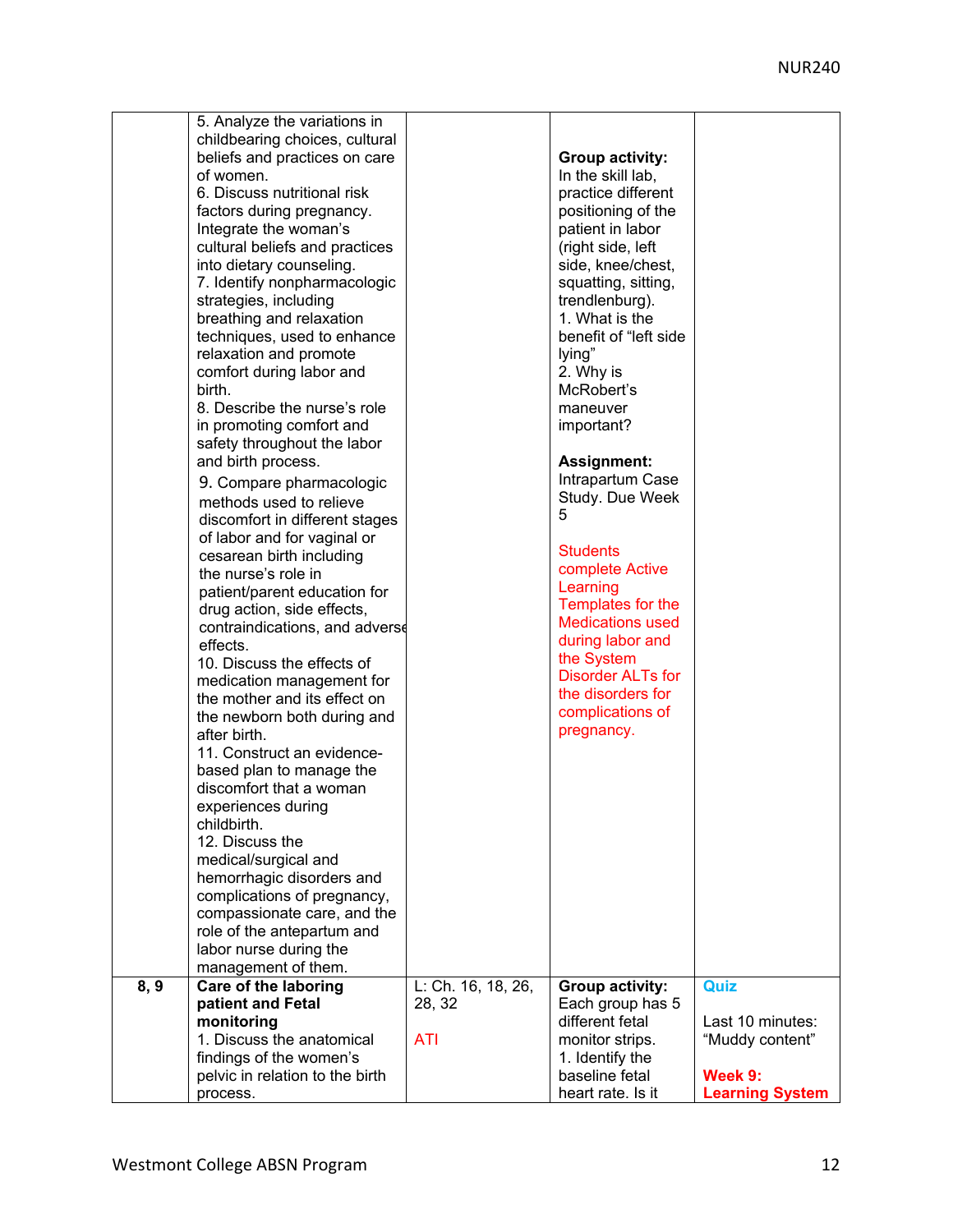|      | 5. Analyze the variations in    |                    |                                         |                        |
|------|---------------------------------|--------------------|-----------------------------------------|------------------------|
|      | childbearing choices, cultural  |                    |                                         |                        |
|      | beliefs and practices on care   |                    | <b>Group activity:</b>                  |                        |
|      | of women.                       |                    | In the skill lab,                       |                        |
|      | 6. Discuss nutritional risk     |                    | practice different                      |                        |
|      | factors during pregnancy.       |                    | positioning of the                      |                        |
|      | Integrate the woman's           |                    | patient in labor                        |                        |
|      | cultural beliefs and practices  |                    | (right side, left                       |                        |
|      | into dietary counseling.        |                    | side, knee/chest,                       |                        |
|      |                                 |                    |                                         |                        |
|      | 7. Identify nonpharmacologic    |                    | squatting, sitting,                     |                        |
|      | strategies, including           |                    | trendlenburg).                          |                        |
|      | breathing and relaxation        |                    | 1. What is the<br>benefit of "left side |                        |
|      | techniques, used to enhance     |                    |                                         |                        |
|      | relaxation and promote          |                    | lying"                                  |                        |
|      | comfort during labor and        |                    | 2. Why is                               |                        |
|      | birth.                          |                    | McRobert's                              |                        |
|      | 8. Describe the nurse's role    |                    | maneuver                                |                        |
|      | in promoting comfort and        |                    | important?                              |                        |
|      | safety throughout the labor     |                    |                                         |                        |
|      | and birth process.              |                    | <b>Assignment:</b>                      |                        |
|      | 9. Compare pharmacologic        |                    | Intrapartum Case                        |                        |
|      | methods used to relieve         |                    | Study. Due Week                         |                        |
|      | discomfort in different stages  |                    | 5                                       |                        |
|      | of labor and for vaginal or     |                    |                                         |                        |
|      | cesarean birth including        |                    | <b>Students</b>                         |                        |
|      | the nurse's role in             |                    | complete Active                         |                        |
|      | patient/parent education for    |                    | Learning                                |                        |
|      | drug action, side effects,      |                    | Templates for the                       |                        |
|      | contraindications, and adverse  |                    | <b>Medications used</b>                 |                        |
|      | effects.                        |                    | during labor and                        |                        |
|      | 10. Discuss the effects of      |                    | the System                              |                        |
|      | medication management for       |                    | <b>Disorder ALTs for</b>                |                        |
|      | the mother and its effect on    |                    | the disorders for                       |                        |
|      | the newborn both during and     |                    | complications of                        |                        |
|      | after birth.                    |                    | pregnancy.                              |                        |
|      | 11. Construct an evidence-      |                    |                                         |                        |
|      | based plan to manage the        |                    |                                         |                        |
|      | discomfort that a woman         |                    |                                         |                        |
|      | experiences during              |                    |                                         |                        |
|      | childbirth.                     |                    |                                         |                        |
|      | 12. Discuss the                 |                    |                                         |                        |
|      | medical/surgical and            |                    |                                         |                        |
|      | hemorrhagic disorders and       |                    |                                         |                        |
|      | complications of pregnancy,     |                    |                                         |                        |
|      | compassionate care, and the     |                    |                                         |                        |
|      | role of the antepartum and      |                    |                                         |                        |
|      | labor nurse during the          |                    |                                         |                        |
|      | management of them.             |                    |                                         |                        |
| 8, 9 | Care of the laboring            | L: Ch. 16, 18, 26, | Group activity:                         | Quiz                   |
|      | patient and Fetal               | 28, 32             | Each group has 5                        |                        |
|      | monitoring                      |                    | different fetal                         | Last 10 minutes:       |
|      | 1. Discuss the anatomical       | <b>ATI</b>         | monitor strips.                         | "Muddy content"        |
|      | findings of the women's         |                    | 1. Identify the                         |                        |
|      | pelvic in relation to the birth |                    | baseline fetal                          | Week 9:                |
|      | process.                        |                    | heart rate. Is it                       | <b>Learning System</b> |
|      |                                 |                    |                                         |                        |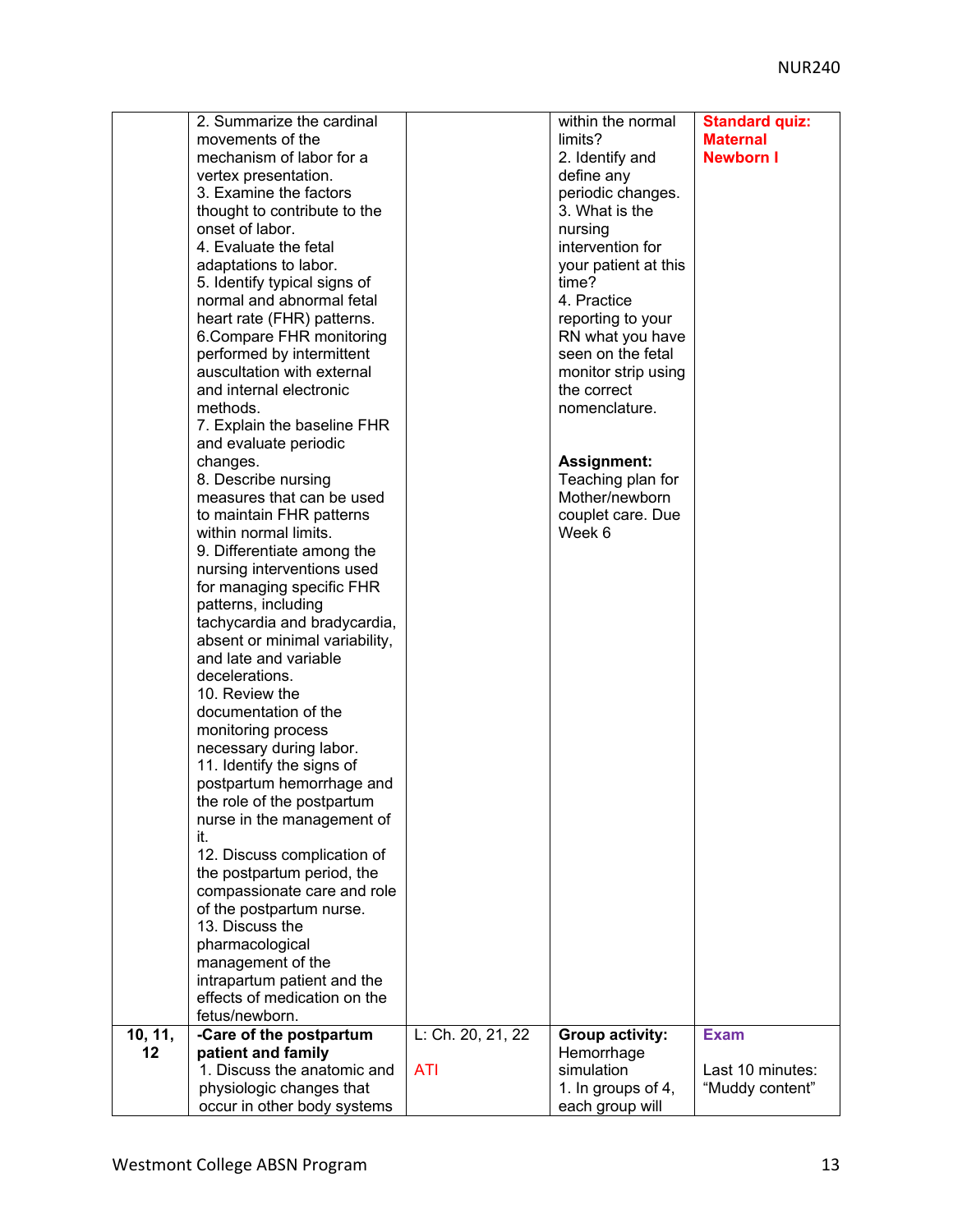|         | 2. Summarize the cardinal      |                   | within the normal    | <b>Standard quiz:</b> |
|---------|--------------------------------|-------------------|----------------------|-----------------------|
|         | movements of the               |                   | limits?              | <b>Maternal</b>       |
|         | mechanism of labor for a       |                   |                      | <b>Newborn I</b>      |
|         |                                |                   | 2. Identify and      |                       |
|         | vertex presentation.           |                   | define any           |                       |
|         | 3. Examine the factors         |                   | periodic changes.    |                       |
|         | thought to contribute to the   |                   | 3. What is the       |                       |
|         | onset of labor.                |                   | nursing              |                       |
|         | 4. Evaluate the fetal          |                   | intervention for     |                       |
|         | adaptations to labor.          |                   | your patient at this |                       |
|         | 5. Identify typical signs of   |                   | time?                |                       |
|         | normal and abnormal fetal      |                   | 4. Practice          |                       |
|         | heart rate (FHR) patterns.     |                   | reporting to your    |                       |
|         | 6. Compare FHR monitoring      |                   | RN what you have     |                       |
|         | performed by intermittent      |                   | seen on the fetal    |                       |
|         | auscultation with external     |                   | monitor strip using  |                       |
|         | and internal electronic        |                   | the correct          |                       |
|         | methods.                       |                   | nomenclature.        |                       |
|         | 7. Explain the baseline FHR    |                   |                      |                       |
|         | and evaluate periodic          |                   |                      |                       |
|         | changes.                       |                   | <b>Assignment:</b>   |                       |
|         | 8. Describe nursing            |                   | Teaching plan for    |                       |
|         | measures that can be used      |                   | Mother/newborn       |                       |
|         | to maintain FHR patterns       |                   | couplet care. Due    |                       |
|         | within normal limits.          |                   | Week 6               |                       |
|         | 9. Differentiate among the     |                   |                      |                       |
|         |                                |                   |                      |                       |
|         | nursing interventions used     |                   |                      |                       |
|         | for managing specific FHR      |                   |                      |                       |
|         | patterns, including            |                   |                      |                       |
|         | tachycardia and bradycardia,   |                   |                      |                       |
|         | absent or minimal variability, |                   |                      |                       |
|         | and late and variable          |                   |                      |                       |
|         | decelerations.                 |                   |                      |                       |
|         | 10. Review the                 |                   |                      |                       |
|         | documentation of the           |                   |                      |                       |
|         | monitoring process             |                   |                      |                       |
|         | necessary during labor.        |                   |                      |                       |
|         | 11. Identify the signs of      |                   |                      |                       |
|         | postpartum hemorrhage and      |                   |                      |                       |
|         | the role of the postpartum     |                   |                      |                       |
|         | nurse in the management of     |                   |                      |                       |
|         | it.                            |                   |                      |                       |
|         | 12. Discuss complication of    |                   |                      |                       |
|         | the postpartum period, the     |                   |                      |                       |
|         | compassionate care and role    |                   |                      |                       |
|         | of the postpartum nurse.       |                   |                      |                       |
|         | 13. Discuss the                |                   |                      |                       |
|         | pharmacological                |                   |                      |                       |
|         | management of the              |                   |                      |                       |
|         | intrapartum patient and the    |                   |                      |                       |
|         | effects of medication on the   |                   |                      |                       |
|         | fetus/newborn.                 |                   |                      |                       |
| 10, 11, | -Care of the postpartum        | L: Ch. 20, 21, 22 | Group activity:      | <b>Exam</b>           |
| 12      | patient and family             |                   | Hemorrhage           |                       |
|         | 1. Discuss the anatomic and    | ATI               | simulation           | Last 10 minutes:      |
|         | physiologic changes that       |                   | 1. In groups of 4,   | "Muddy content"       |
|         | occur in other body systems    |                   | each group will      |                       |
|         |                                |                   |                      |                       |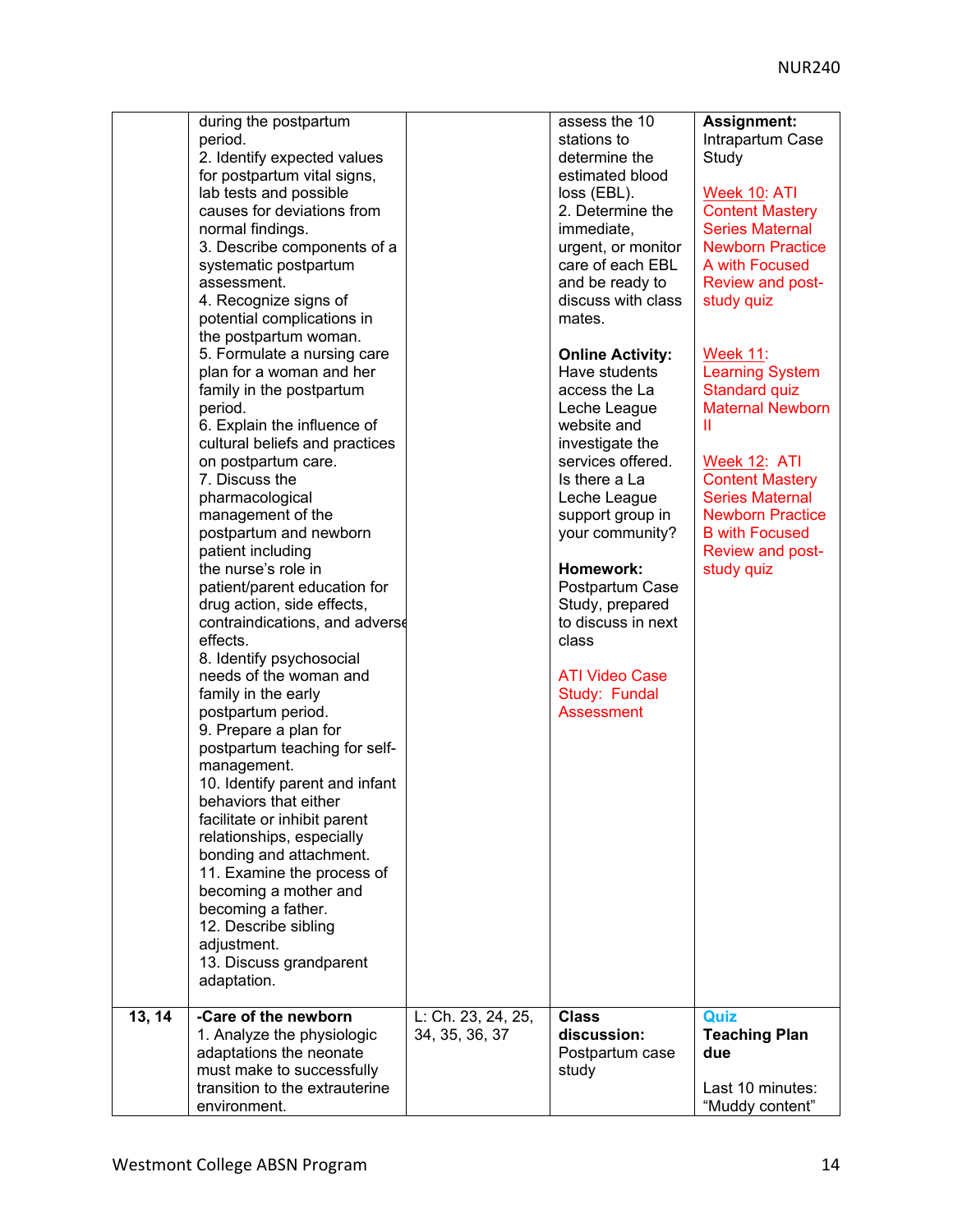|        | during the postpartum<br>period.<br>2. Identify expected values<br>for postpartum vital signs,<br>lab tests and possible<br>causes for deviations from<br>normal findings.<br>3. Describe components of a<br>systematic postpartum<br>assessment.<br>4. Recognize signs of<br>potential complications in                                                                                                                                                                                                                                                                                                                                                                                                                                                                                                                                                                                                                                                 |                                      | assess the 10<br>stations to<br>determine the<br>estimated blood<br>loss (EBL).<br>2. Determine the<br>immediate,<br>urgent, or monitor<br>care of each EBL<br>and be ready to<br>discuss with class<br>mates.                                                                                                                                            | <b>Assignment:</b><br>Intrapartum Case<br>Study<br>Week 10: ATI<br><b>Content Mastery</b><br><b>Series Maternal</b><br><b>Newborn Practice</b><br>A with Focused<br>Review and post-<br>study quiz                                                                 |
|--------|----------------------------------------------------------------------------------------------------------------------------------------------------------------------------------------------------------------------------------------------------------------------------------------------------------------------------------------------------------------------------------------------------------------------------------------------------------------------------------------------------------------------------------------------------------------------------------------------------------------------------------------------------------------------------------------------------------------------------------------------------------------------------------------------------------------------------------------------------------------------------------------------------------------------------------------------------------|--------------------------------------|-----------------------------------------------------------------------------------------------------------------------------------------------------------------------------------------------------------------------------------------------------------------------------------------------------------------------------------------------------------|--------------------------------------------------------------------------------------------------------------------------------------------------------------------------------------------------------------------------------------------------------------------|
|        | the postpartum woman.<br>5. Formulate a nursing care<br>plan for a woman and her<br>family in the postpartum<br>period.<br>6. Explain the influence of<br>cultural beliefs and practices<br>on postpartum care.<br>7. Discuss the<br>pharmacological<br>management of the<br>postpartum and newborn<br>patient including<br>the nurse's role in<br>patient/parent education for<br>drug action, side effects,<br>contraindications, and adverse<br>effects.<br>8. Identify psychosocial<br>needs of the woman and<br>family in the early<br>postpartum period.<br>9. Prepare a plan for<br>postpartum teaching for self-<br>management.<br>10. Identify parent and infant<br>behaviors that either<br>facilitate or inhibit parent<br>relationships, especially<br>bonding and attachment.<br>11. Examine the process of<br>becoming a mother and<br>becoming a father.<br>12. Describe sibling<br>adjustment.<br>13. Discuss grandparent<br>adaptation. |                                      | <b>Online Activity:</b><br>Have students<br>access the La<br>Leche League<br>website and<br>investigate the<br>services offered.<br>Is there a La<br>Leche League<br>support group in<br>your community?<br>Homework:<br>Postpartum Case<br>Study, prepared<br>to discuss in next<br>class<br><b>ATI Video Case</b><br>Study: Fundal<br><b>Assessment</b> | <b>Week 11:</b><br><b>Learning System</b><br><b>Standard quiz</b><br><b>Maternal Newborn</b><br>Ш<br>Week 12: ATI<br><b>Content Mastery</b><br><b>Series Maternal</b><br><b>Newborn Practice</b><br><b>B</b> with Focused<br><b>Review and post-</b><br>study quiz |
| 13, 14 | -Care of the newborn<br>1. Analyze the physiologic<br>adaptations the neonate<br>must make to successfully<br>transition to the extrauterine<br>environment.                                                                                                                                                                                                                                                                                                                                                                                                                                                                                                                                                                                                                                                                                                                                                                                             | L: Ch. 23, 24, 25,<br>34, 35, 36, 37 | <b>Class</b><br>discussion:<br>Postpartum case<br>study                                                                                                                                                                                                                                                                                                   | Quiz<br><b>Teaching Plan</b><br>due<br>Last 10 minutes:<br>"Muddy content"                                                                                                                                                                                         |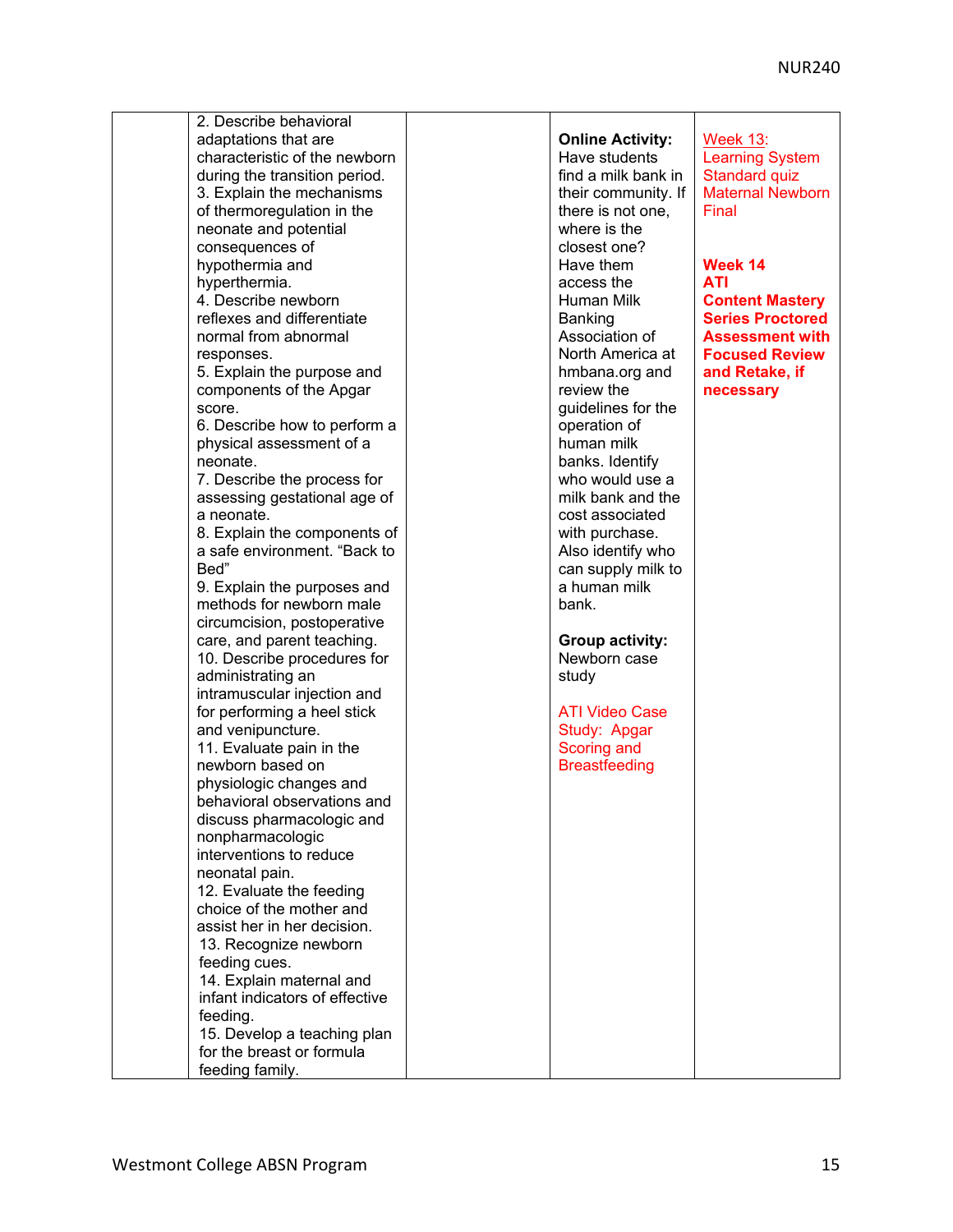| 2. Describe behavioral                        |                             |                         |
|-----------------------------------------------|-----------------------------|-------------------------|
| adaptations that are                          | <b>Online Activity:</b>     | <b>Week 13:</b>         |
| characteristic of the newborn                 | Have students               | <b>Learning System</b>  |
| during the transition period.                 | find a milk bank in         | Standard quiz           |
| 3. Explain the mechanisms                     | their community. If         | <b>Maternal Newborn</b> |
| of thermoregulation in the                    | there is not one,           | Final                   |
| neonate and potential                         | where is the                |                         |
|                                               | closest one?                |                         |
| consequences of                               |                             |                         |
| hypothermia and                               | Have them                   | Week 14                 |
| hyperthermia.                                 | access the                  | <b>ATI</b>              |
| 4. Describe newborn                           | Human Milk                  | <b>Content Mastery</b>  |
| reflexes and differentiate                    | <b>Banking</b>              | <b>Series Proctored</b> |
| normal from abnormal                          | Association of              | <b>Assessment with</b>  |
| responses.                                    | North America at            | <b>Focused Review</b>   |
| 5. Explain the purpose and                    | hmbana.org and              | and Retake, if          |
| components of the Apgar                       | review the                  | necessary               |
| score.                                        | guidelines for the          |                         |
| 6. Describe how to perform a                  | operation of                |                         |
| physical assessment of a                      | human milk                  |                         |
| neonate.                                      | banks. Identify             |                         |
| 7. Describe the process for                   | who would use a             |                         |
| assessing gestational age of                  | milk bank and the           |                         |
| a neonate.                                    | cost associated             |                         |
| 8. Explain the components of                  | with purchase.              |                         |
| a safe environment. "Back to                  | Also identify who           |                         |
| Bed"                                          | can supply milk to          |                         |
| 9. Explain the purposes and                   | a human milk                |                         |
| methods for newborn male                      | bank.                       |                         |
| circumcision, postoperative                   |                             |                         |
| care, and parent teaching.                    | <b>Group activity:</b>      |                         |
| 10. Describe procedures for                   | Newborn case                |                         |
| administrating an                             | study                       |                         |
| intramuscular injection and                   |                             |                         |
| for performing a heel stick                   | <b>ATI Video Case</b>       |                         |
|                                               |                             |                         |
| and venipuncture.<br>11. Evaluate pain in the | Study: Apgar<br>Scoring and |                         |
| newborn based on                              |                             |                         |
|                                               | <b>Breastfeeding</b>        |                         |
| physiologic changes and                       |                             |                         |
| behavioral observations and                   |                             |                         |
| discuss pharmacologic and                     |                             |                         |
| nonpharmacologic                              |                             |                         |
| interventions to reduce                       |                             |                         |
| neonatal pain.                                |                             |                         |
| 12. Evaluate the feeding                      |                             |                         |
| choice of the mother and                      |                             |                         |
| assist her in her decision.                   |                             |                         |
| 13. Recognize newborn                         |                             |                         |
| feeding cues.                                 |                             |                         |
| 14. Explain maternal and                      |                             |                         |
| infant indicators of effective                |                             |                         |
| feeding.                                      |                             |                         |
| 15. Develop a teaching plan                   |                             |                         |
| for the breast or formula                     |                             |                         |
| feeding family.                               |                             |                         |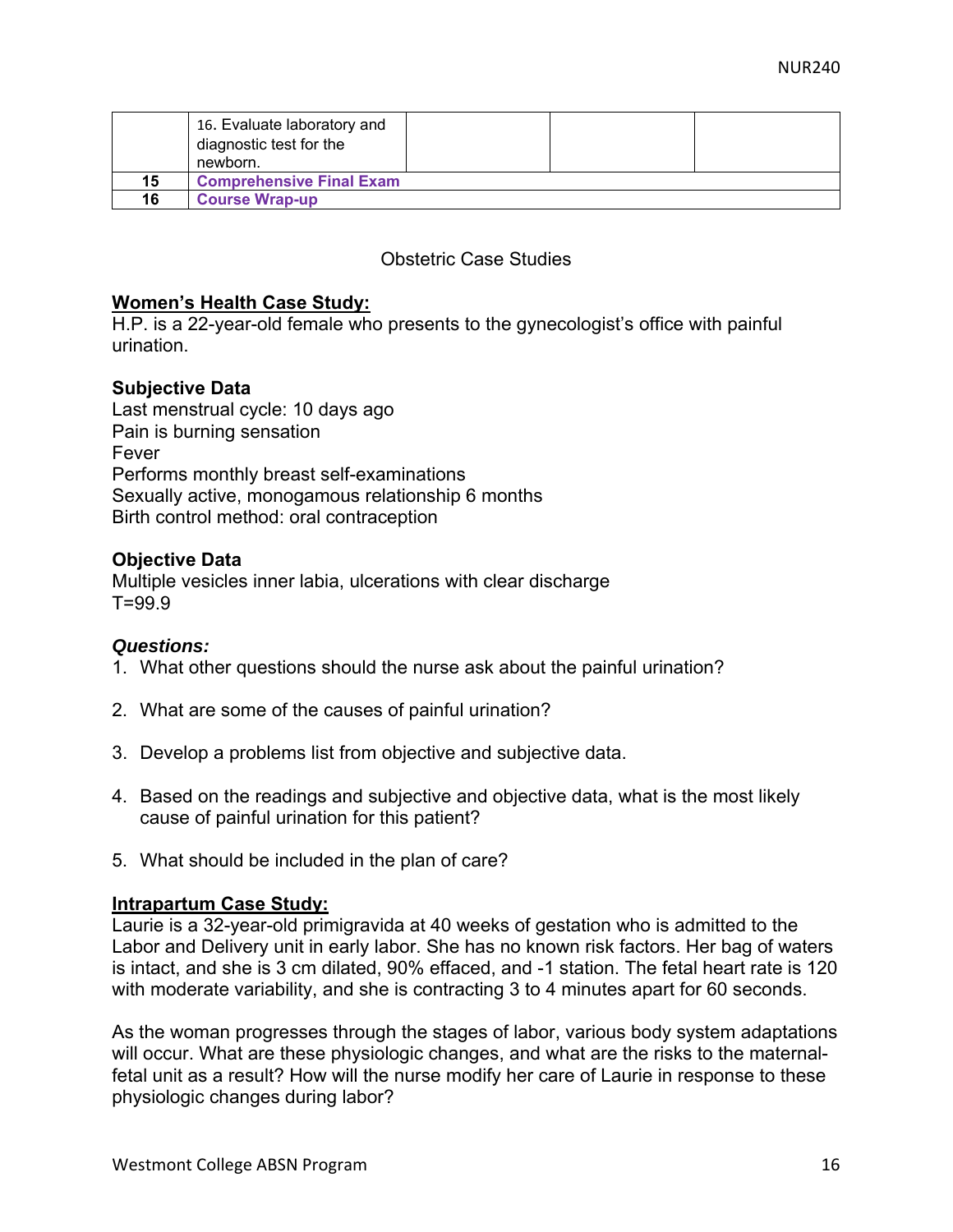|    | 16. Evaluate laboratory and<br>diagnostic test for the<br>newborn. |  |  |
|----|--------------------------------------------------------------------|--|--|
| 15 | <b>Comprehensive Final Exam</b>                                    |  |  |
| 16 | <b>Course Wrap-up</b>                                              |  |  |

Obstetric Case Studies

#### **Women's Health Case Study:**

H.P. is a 22-year-old female who presents to the gynecologist's office with painful urination.

#### **Subjective Data**

Last menstrual cycle: 10 days ago Pain is burning sensation Fever Performs monthly breast self-examinations Sexually active, monogamous relationship 6 months Birth control method: oral contraception

#### **Objective Data**

Multiple vesicles inner labia, ulcerations with clear discharge  $T = 99.9$ 

#### *Questions:*

- 1. What other questions should the nurse ask about the painful urination?
- 2. What are some of the causes of painful urination?
- 3. Develop a problems list from objective and subjective data.
- 4. Based on the readings and subjective and objective data, what is the most likely cause of painful urination for this patient?
- 5. What should be included in the plan of care?

#### **Intrapartum Case Study:**

Laurie is a 32-year-old primigravida at 40 weeks of gestation who is admitted to the Labor and Delivery unit in early labor. She has no known risk factors. Her bag of waters is intact, and she is 3 cm dilated, 90% effaced, and -1 station. The fetal heart rate is 120 with moderate variability, and she is contracting 3 to 4 minutes apart for 60 seconds.

As the woman progresses through the stages of labor, various body system adaptations will occur. What are these physiologic changes, and what are the risks to the maternalfetal unit as a result? How will the nurse modify her care of Laurie in response to these physiologic changes during labor?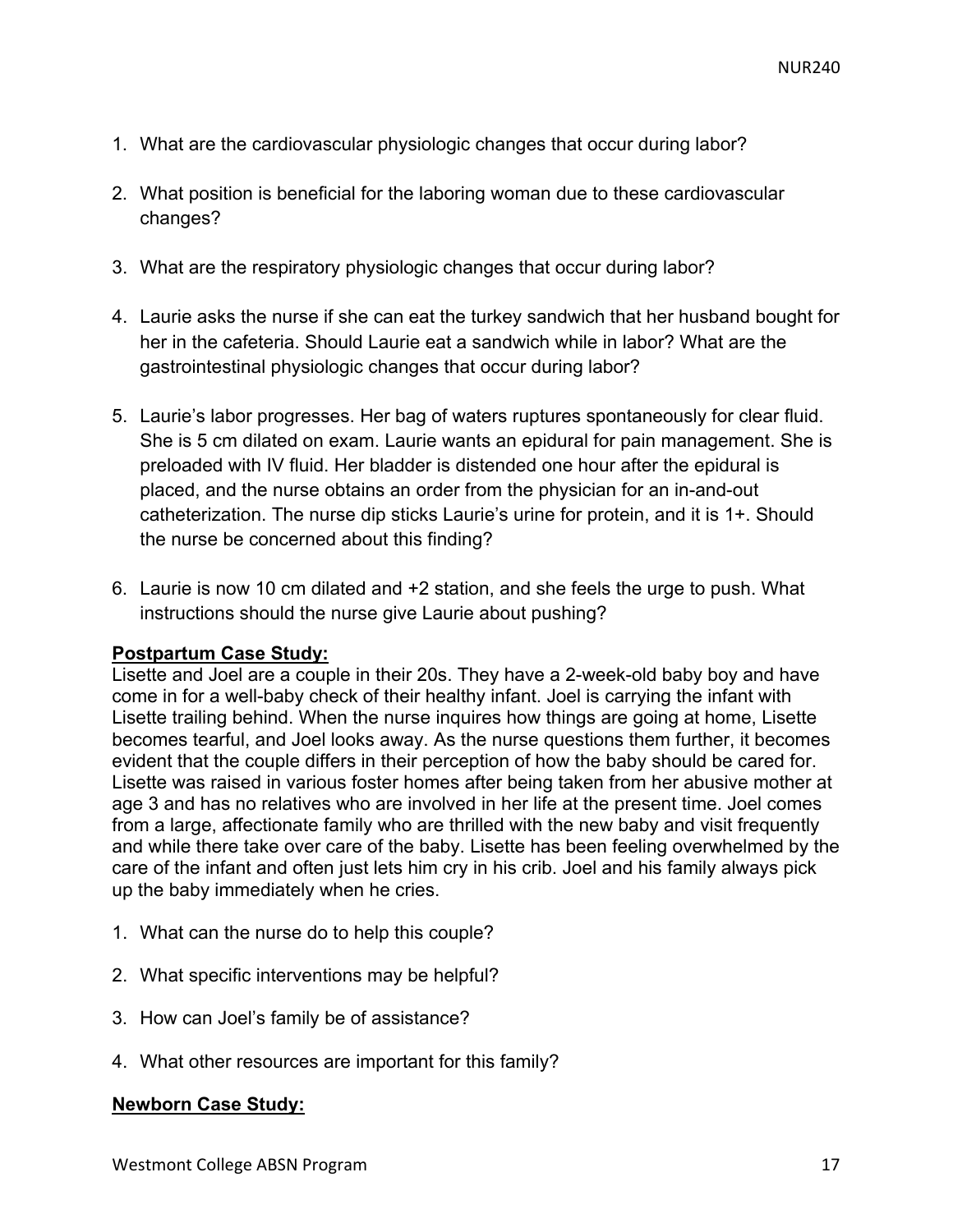- 1. What are the cardiovascular physiologic changes that occur during labor?
- 2. What position is beneficial for the laboring woman due to these cardiovascular changes?
- 3. What are the respiratory physiologic changes that occur during labor?
- 4. Laurie asks the nurse if she can eat the turkey sandwich that her husband bought for her in the cafeteria. Should Laurie eat a sandwich while in labor? What are the gastrointestinal physiologic changes that occur during labor?
- 5. Laurie's labor progresses. Her bag of waters ruptures spontaneously for clear fluid. She is 5 cm dilated on exam. Laurie wants an epidural for pain management. She is preloaded with IV fluid. Her bladder is distended one hour after the epidural is placed, and the nurse obtains an order from the physician for an in-and-out catheterization. The nurse dip sticks Laurie's urine for protein, and it is 1+. Should the nurse be concerned about this finding?
- 6. Laurie is now 10 cm dilated and +2 station, and she feels the urge to push. What instructions should the nurse give Laurie about pushing?

#### **Postpartum Case Study:**

Lisette and Joel are a couple in their 20s. They have a 2-week-old baby boy and have come in for a well-baby check of their healthy infant. Joel is carrying the infant with Lisette trailing behind. When the nurse inquires how things are going at home, Lisette becomes tearful, and Joel looks away. As the nurse questions them further, it becomes evident that the couple differs in their perception of how the baby should be cared for. Lisette was raised in various foster homes after being taken from her abusive mother at age 3 and has no relatives who are involved in her life at the present time. Joel comes from a large, affectionate family who are thrilled with the new baby and visit frequently and while there take over care of the baby. Lisette has been feeling overwhelmed by the care of the infant and often just lets him cry in his crib. Joel and his family always pick up the baby immediately when he cries.

- 1. What can the nurse do to help this couple?
- 2. What specific interventions may be helpful?
- 3. How can Joel's family be of assistance?
- 4. What other resources are important for this family?

#### **Newborn Case Study:**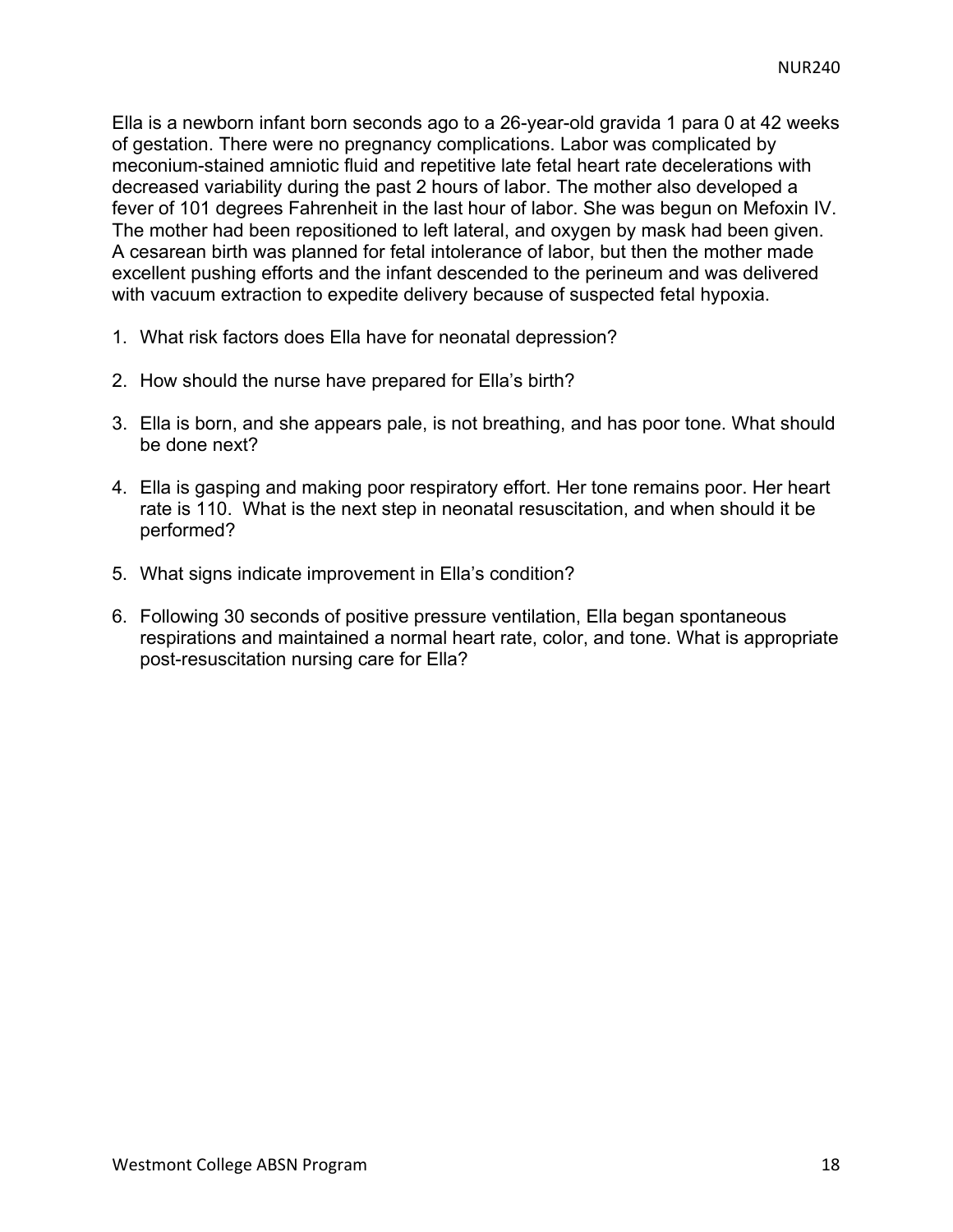Ella is a newborn infant born seconds ago to a 26-year-old gravida 1 para 0 at 42 weeks of gestation. There were no pregnancy complications. Labor was complicated by meconium-stained amniotic fluid and repetitive late fetal heart rate decelerations with decreased variability during the past 2 hours of labor. The mother also developed a fever of 101 degrees Fahrenheit in the last hour of labor. She was begun on Mefoxin IV. The mother had been repositioned to left lateral, and oxygen by mask had been given. A cesarean birth was planned for fetal intolerance of labor, but then the mother made excellent pushing efforts and the infant descended to the perineum and was delivered with vacuum extraction to expedite delivery because of suspected fetal hypoxia.

- 1. What risk factors does Ella have for neonatal depression?
- 2. How should the nurse have prepared for Ella's birth?
- 3. Ella is born, and she appears pale, is not breathing, and has poor tone. What should be done next?
- 4. Ella is gasping and making poor respiratory effort. Her tone remains poor. Her heart rate is 110. What is the next step in neonatal resuscitation, and when should it be performed?
- 5. What signs indicate improvement in Ella's condition?
- 6. Following 30 seconds of positive pressure ventilation, Ella began spontaneous respirations and maintained a normal heart rate, color, and tone. What is appropriate post-resuscitation nursing care for Ella?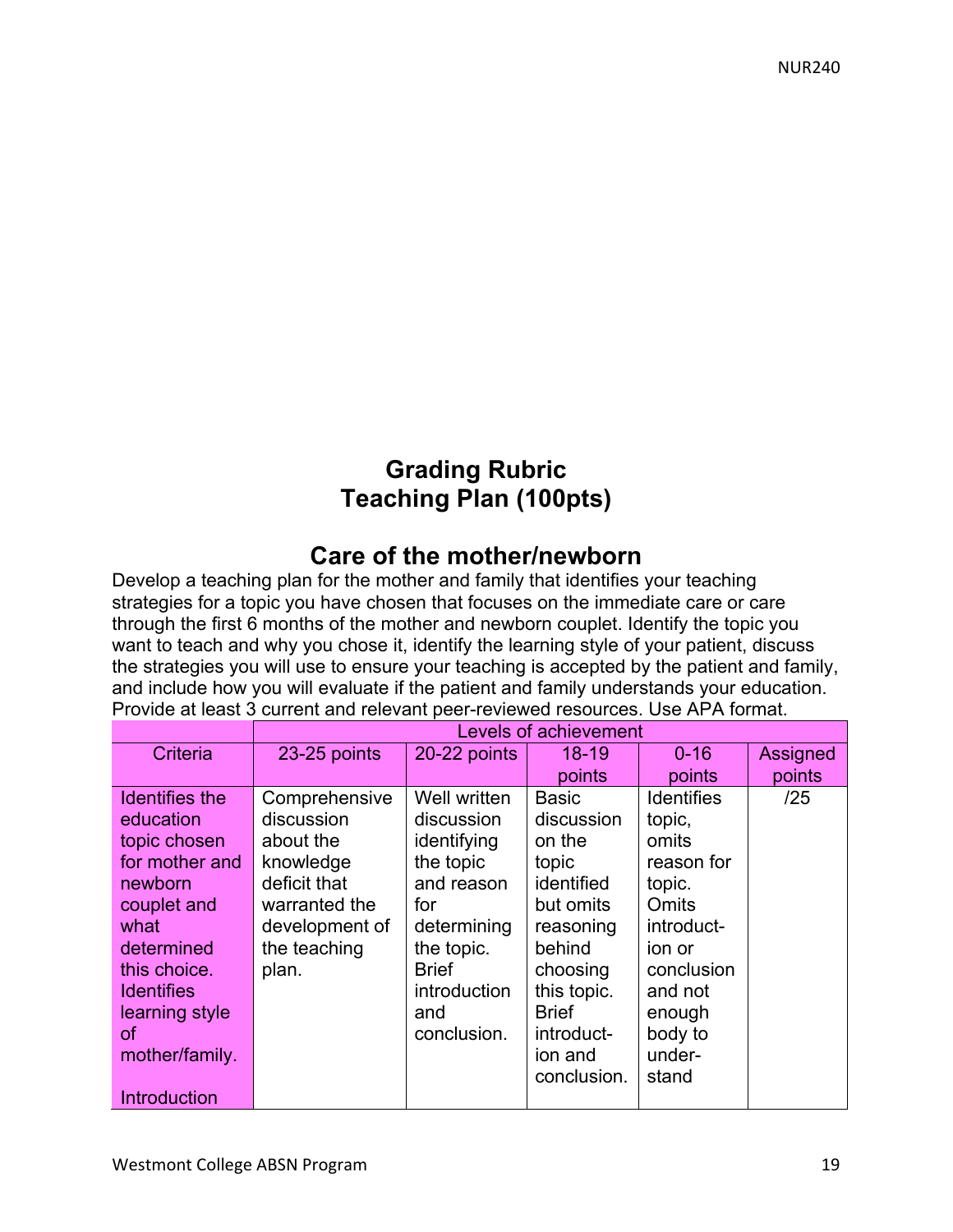## **Grading Rubric Teaching Plan (100pts)**

## **Care of the mother/newborn**

Develop a teaching plan for the mother and family that identifies your teaching strategies for a topic you have chosen that focuses on the immediate care or care through the first 6 months of the mother and newborn couplet. Identify the topic you want to teach and why you chose it, identify the learning style of your patient, discuss the strategies you will use to ensure your teaching is accepted by the patient and family, and include how you will evaluate if the patient and family understands your education. Provide at least 3 current and relevant peer-reviewed resources. Use APA format.

|                     | Levels of achievement |              |              |                   |          |
|---------------------|-----------------------|--------------|--------------|-------------------|----------|
| Criteria            | 23-25 points          | 20-22 points | $18 - 19$    | $0 - 16$          | Assigned |
|                     |                       |              | points       | points            | points   |
| Identifies the      | Comprehensive         | Well written | <b>Basic</b> | <b>Identifies</b> | /25      |
| education           | discussion            | discussion   | discussion   | topic,            |          |
| topic chosen        | about the             | identifying  | on the       | omits             |          |
| for mother and      | knowledge             | the topic    | topic        | reason for        |          |
| newborn             | deficit that          | and reason   | identified   | topic.            |          |
| couplet and         | warranted the         | for          | but omits    | <b>Omits</b>      |          |
| what                | development of        | determining  | reasoning    | introduct-        |          |
| determined          | the teaching          | the topic.   | behind       | ion or            |          |
| this choice.        | plan.                 | <b>Brief</b> | choosing     | conclusion        |          |
| <b>Identifies</b>   |                       | introduction | this topic.  | and not           |          |
| learning style      |                       | and          | <b>Brief</b> | enough            |          |
| of                  |                       | conclusion.  | introduct-   | body to           |          |
| mother/family.      |                       |              | ion and      | under-            |          |
|                     |                       |              | conclusion.  | stand             |          |
| <b>Introduction</b> |                       |              |              |                   |          |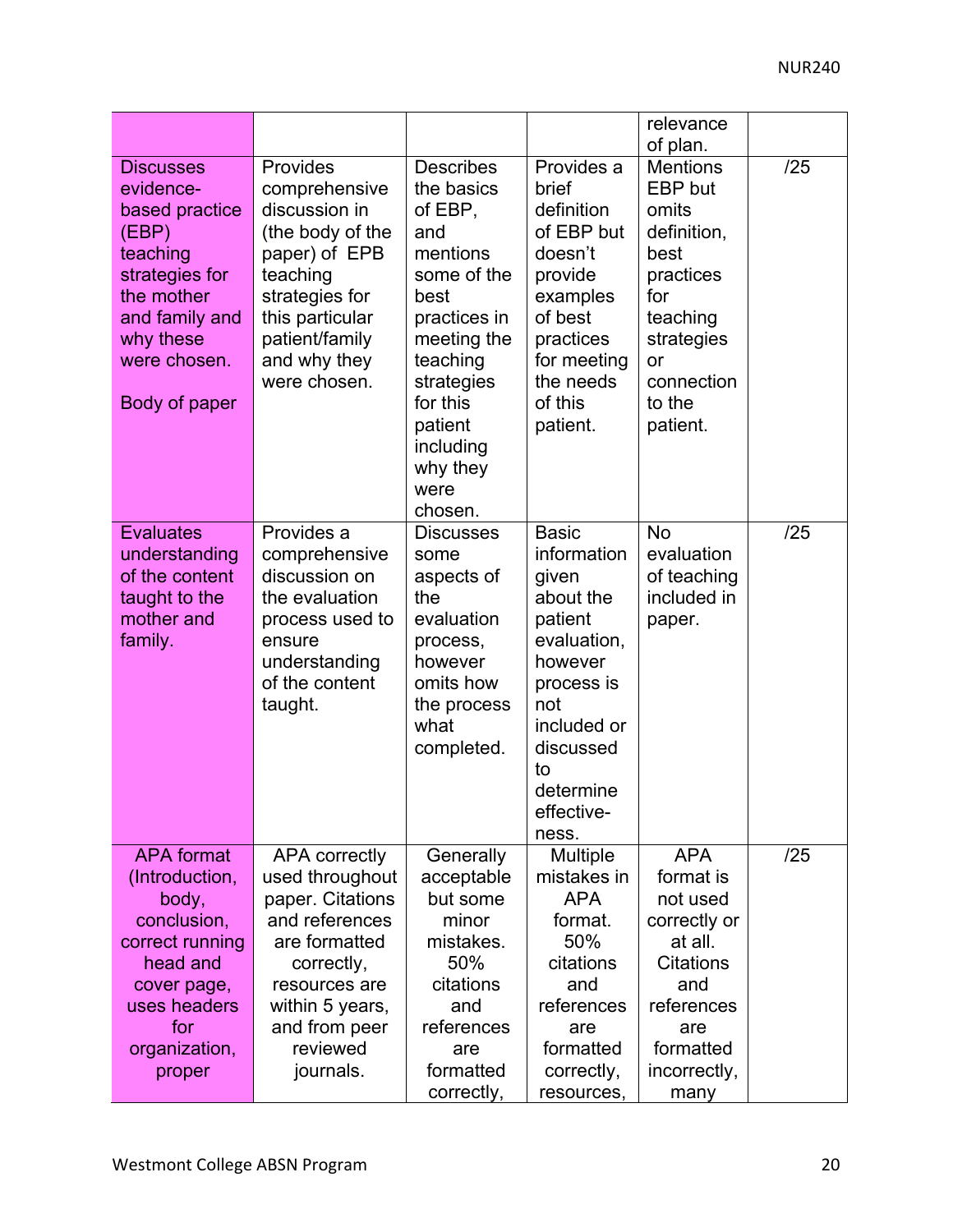|                                                                                                                                                                      |                                                                                                                                                                                            |                                                                                                                                                                                                                 |                                                                                                                                                                                   | relevance                                                                                                                                                      |     |
|----------------------------------------------------------------------------------------------------------------------------------------------------------------------|--------------------------------------------------------------------------------------------------------------------------------------------------------------------------------------------|-----------------------------------------------------------------------------------------------------------------------------------------------------------------------------------------------------------------|-----------------------------------------------------------------------------------------------------------------------------------------------------------------------------------|----------------------------------------------------------------------------------------------------------------------------------------------------------------|-----|
| <b>Discusses</b><br>evidence-<br>based practice<br>(EBP)<br>teaching<br>strategies for<br>the mother<br>and family and<br>why these<br>were chosen.<br>Body of paper | Provides<br>comprehensive<br>discussion in<br>(the body of the<br>paper) of EPB<br>teaching<br>strategies for<br>this particular<br>patient/family<br>and why they<br>were chosen.         | <b>Describes</b><br>the basics<br>of EBP,<br>and<br>mentions<br>some of the<br>best<br>practices in<br>meeting the<br>teaching<br>strategies<br>for this<br>patient<br>including<br>why they<br>were<br>chosen. | Provides a<br>brief<br>definition<br>of EBP but<br>doesn't<br>provide<br>examples<br>of best<br>practices<br>for meeting<br>the needs<br>of this<br>patient.                      | of plan.<br><b>Mentions</b><br>EBP but<br>omits<br>definition,<br>best<br>practices<br>for<br>teaching<br>strategies<br>or<br>connection<br>to the<br>patient. | /25 |
| <b>Evaluates</b><br>understanding<br>of the content<br>taught to the<br>mother and<br>family.                                                                        | Provides a<br>comprehensive<br>discussion on<br>the evaluation<br>process used to<br>ensure<br>understanding<br>of the content<br>taught.                                                  | <b>Discusses</b><br>some<br>aspects of<br>the<br>evaluation<br>process,<br>however<br>omits how<br>the process<br>what<br>completed.                                                                            | <b>Basic</b><br>information<br>given<br>about the<br>patient<br>evaluation,<br>however<br>process is<br>not<br>included or<br>discussed<br>to<br>determine<br>effective-<br>ness. | <b>No</b><br>evaluation<br>of teaching<br>included in<br>paper.                                                                                                | /25 |
| <b>APA</b> format<br>(Introduction,<br>body,<br>conclusion,<br>correct running<br>head and<br>cover page,<br>uses headers<br>for<br>organization,<br>proper          | <b>APA</b> correctly<br>used throughout<br>paper. Citations<br>and references<br>are formatted<br>correctly,<br>resources are<br>within 5 years,<br>and from peer<br>reviewed<br>journals. | Generally<br>acceptable<br>but some<br>minor<br>mistakes.<br>50%<br>citations<br>and<br>references<br>are<br>formatted<br>correctly,                                                                            | <b>Multiple</b><br>mistakes in<br><b>APA</b><br>format.<br>50%<br>citations<br>and<br>references<br>are<br>formatted<br>correctly,<br>resources,                                  | <b>APA</b><br>format is<br>not used<br>correctly or<br>at all.<br><b>Citations</b><br>and<br>references<br>are<br>formatted<br>incorrectly,<br>many            | /25 |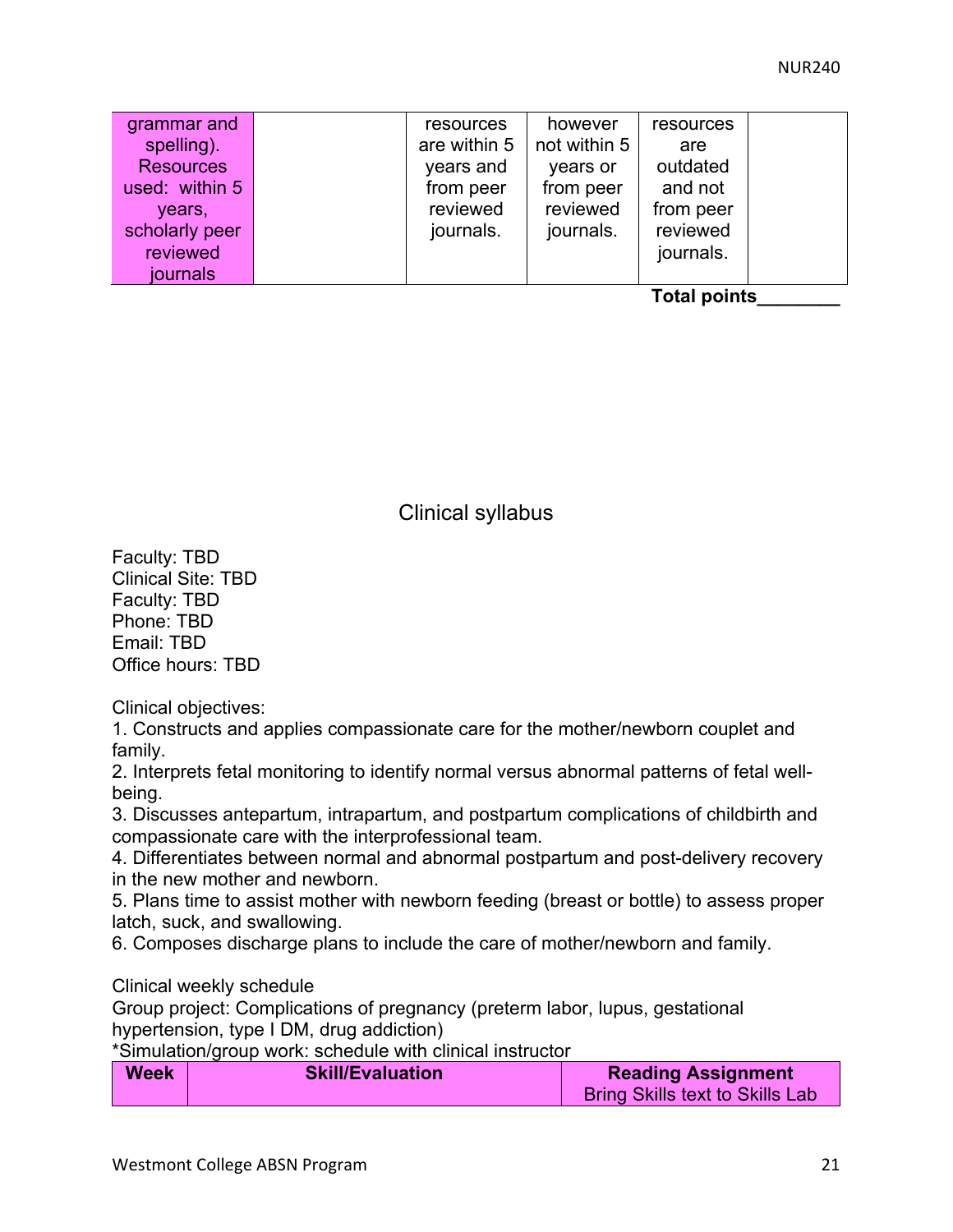| grammar and<br>spelling).<br><b>Resources</b><br>used: within 5<br>years,<br>scholarly peer | resources<br>are within 5<br>years and<br>from peer<br>reviewed<br>journals. | however<br>not within 5<br>years or<br>from peer<br>reviewed<br>journals. | resources<br>are<br>outdated<br>and not<br>from peer<br>reviewed |  |
|---------------------------------------------------------------------------------------------|------------------------------------------------------------------------------|---------------------------------------------------------------------------|------------------------------------------------------------------|--|
| reviewed<br>journals                                                                        |                                                                              |                                                                           | journals.                                                        |  |

**Total points\_\_\_\_\_\_\_\_** 

Clinical syllabus

Faculty: TBD Clinical Site: TBD Faculty: TBD Phone: TBD Email: TBD Office hours: TBD

Clinical objectives:

1. Constructs and applies compassionate care for the mother/newborn couplet and family.

2. Interprets fetal monitoring to identify normal versus abnormal patterns of fetal wellbeing.

3. Discusses antepartum, intrapartum, and postpartum complications of childbirth and compassionate care with the interprofessional team.

4. Differentiates between normal and abnormal postpartum and post-delivery recovery in the new mother and newborn.

5. Plans time to assist mother with newborn feeding (breast or bottle) to assess proper latch, suck, and swallowing.

6. Composes discharge plans to include the care of mother/newborn and family.

Clinical weekly schedule

Group project: Complications of pregnancy (preterm labor, lupus, gestational hypertension, type I DM, drug addiction)

\*Simulation/group work: schedule with clinical instructor

| <b>Week</b> | <b>Skill/Evaluation</b> | <b>Reading Assignment</b>              |
|-------------|-------------------------|----------------------------------------|
|             |                         | <b>Bring Skills text to Skills Lab</b> |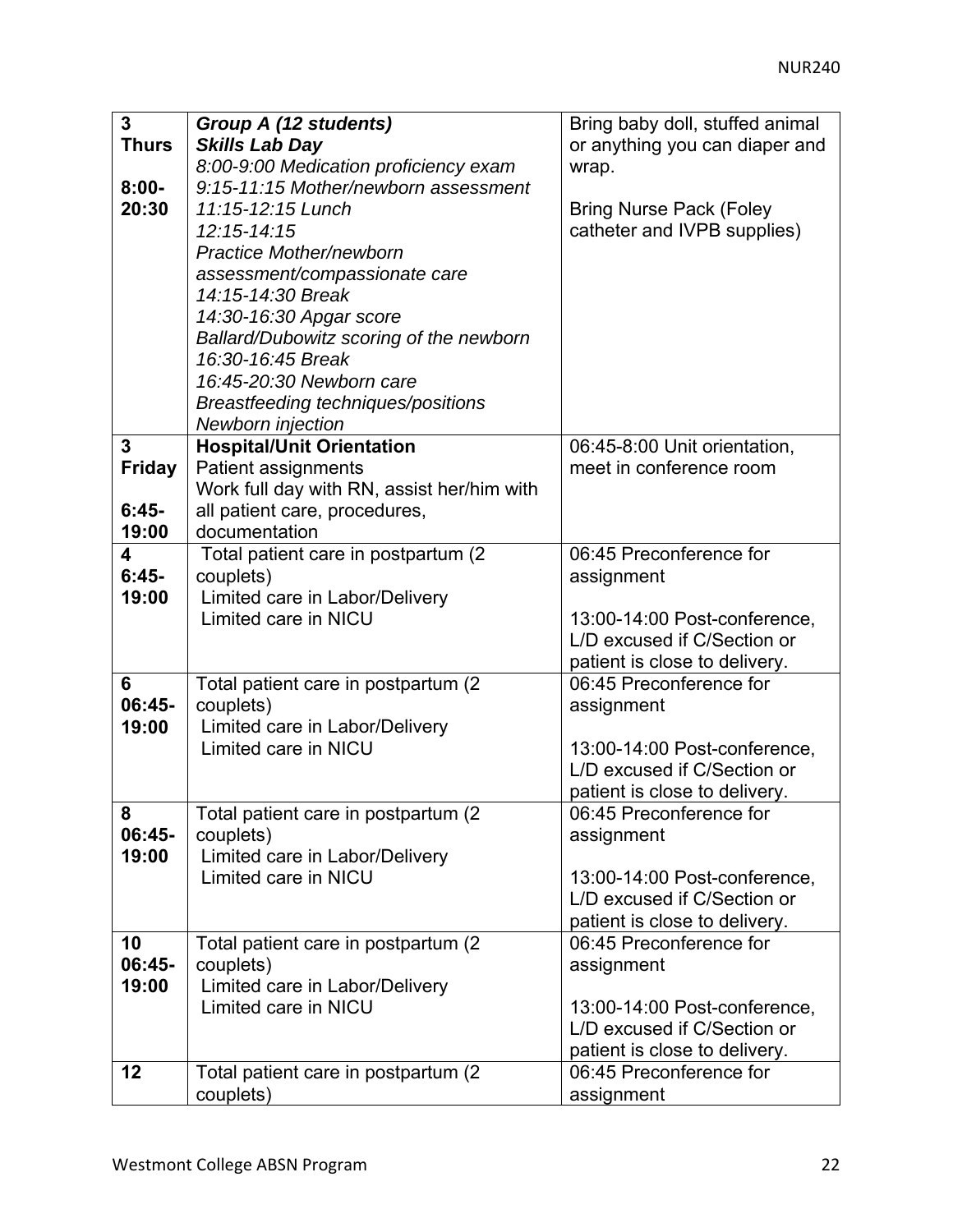| $\overline{3}$ | Group A (12 students)                             | Bring baby doll, stuffed animal                          |
|----------------|---------------------------------------------------|----------------------------------------------------------|
| <b>Thurs</b>   | <b>Skills Lab Day</b>                             | or anything you can diaper and                           |
|                | 8:00-9:00 Medication proficiency exam             | wrap.                                                    |
| $8:00 -$       | 9:15-11:15 Mother/newborn assessment              |                                                          |
| 20:30          | 11:15-12:15 Lunch                                 | <b>Bring Nurse Pack (Foley</b>                           |
|                | $12:15 - 14:15$                                   | catheter and IVPB supplies)                              |
|                | <b>Practice Mother/newborn</b>                    |                                                          |
|                | assessment/compassionate care                     |                                                          |
|                | 14:15-14:30 Break                                 |                                                          |
|                | 14:30-16:30 Apgar score                           |                                                          |
|                | Ballard/Dubowitz scoring of the newborn           |                                                          |
|                | 16:30-16:45 Break                                 |                                                          |
|                | 16:45-20:30 Newborn care                          |                                                          |
|                | Breastfeeding techniques/positions                |                                                          |
|                | Newborn injection                                 |                                                          |
| 3              | <b>Hospital/Unit Orientation</b>                  | 06:45-8:00 Unit orientation,                             |
| <b>Friday</b>  | <b>Patient assignments</b>                        | meet in conference room                                  |
|                | Work full day with RN, assist her/him with        |                                                          |
| $6:45-$        | all patient care, procedures,                     |                                                          |
| 19:00          | documentation                                     |                                                          |
| 4              | Total patient care in postpartum (2)              | 06:45 Preconference for                                  |
| $6:45-$        | couplets)                                         | assignment                                               |
| 19:00          | Limited care in Labor/Delivery                    |                                                          |
|                | Limited care in NICU                              | 13:00-14:00 Post-conference,                             |
|                |                                                   | L/D excused if C/Section or                              |
| 6              |                                                   | patient is close to delivery.<br>06:45 Preconference for |
| $06:45-$       | Total patient care in postpartum (2)<br>couplets) | assignment                                               |
| 19:00          | Limited care in Labor/Delivery                    |                                                          |
|                | Limited care in NICU                              | 13:00-14:00 Post-conference,                             |
|                |                                                   | L/D excused if C/Section or                              |
|                |                                                   | patient is close to delivery.                            |
| 8              | Total patient care in postpartum (2)              | 06:45 Preconference for                                  |
| $06:45-$       | couplets)                                         | assignment                                               |
| 19:00          | Limited care in Labor/Delivery                    |                                                          |
|                | Limited care in NICU                              | 13:00-14:00 Post-conference,                             |
|                |                                                   | L/D excused if C/Section or                              |
|                |                                                   | patient is close to delivery.                            |
| 10             | Total patient care in postpartum (2)              | 06:45 Preconference for                                  |
| $06:45-$       | couplets)                                         | assignment                                               |
| 19:00          | Limited care in Labor/Delivery                    |                                                          |
|                | Limited care in NICU                              | 13:00-14:00 Post-conference,                             |
|                |                                                   | L/D excused if C/Section or                              |
|                |                                                   | patient is close to delivery.                            |
| 12             | Total patient care in postpartum (2)              | 06:45 Preconference for                                  |
|                | couplets)                                         | assignment                                               |